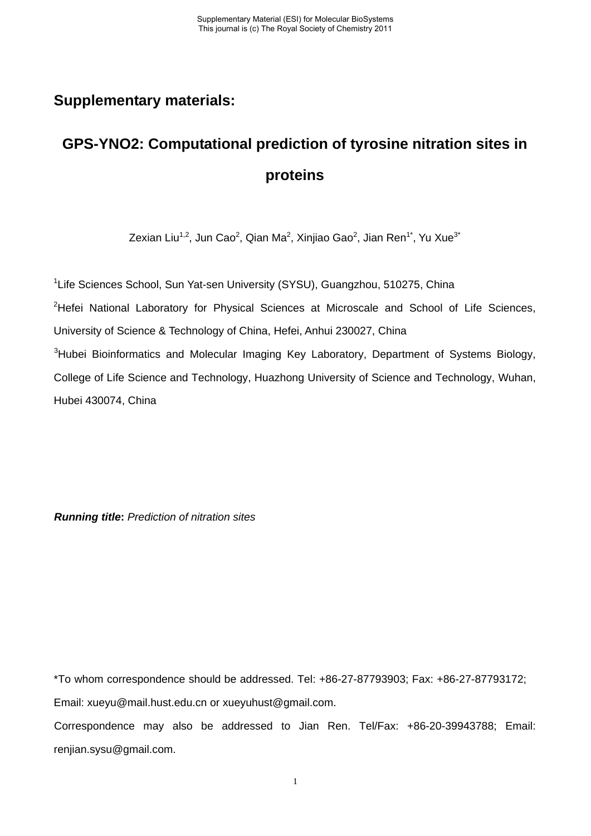## **Supplementary materials:**

## **GPS-YNO2: Computational prediction of tyrosine nitration sites in proteins**

Zexian Liu<sup>1,2</sup>, Jun Cao<sup>2</sup>, Qian Ma<sup>2</sup>, Xinjiao Gao<sup>2</sup>, Jian Ren<sup>1\*</sup>, Yu Xue<sup>3\*</sup>

<sup>1</sup>Life Sciences School, Sun Yat-sen University (SYSU), Guangzhou, 510275, China <sup>2</sup>Hefei National Laboratory for Physical Sciences at Microscale and School of Life Sciences, University of Science & Technology of China, Hefei, Anhui 230027, China <sup>3</sup>Hubei Bioinformatics and Molecular Imaging Key Laboratory, Department of Systems Biology, College of Life Science and Technology, Huazhong University of Science and Technology, Wuhan, Hubei 430074, China

*Running title***:** *Prediction of nitration sites*

\*To whom correspondence should be addressed. Tel: +86-27-87793903; Fax: +86-27-87793172; Email: xueyu@mail.hust.edu.cn or xueyuhust@gmail.com.

Correspondence may also be addressed to Jian Ren. Tel/Fax: +86-20-39943788; Email: renjian.sysu@gmail.com.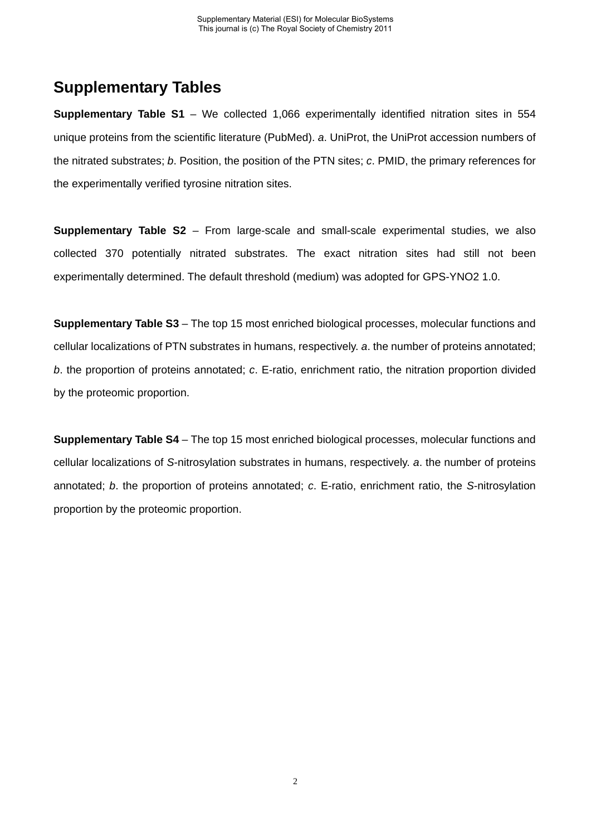## **Supplementary Tables**

**Supplementary Table S1** – We collected 1,066 experimentally identified nitration sites in 554 unique proteins from the scientific literature (PubMed). *a*. UniProt, the UniProt accession numbers of the nitrated substrates; *b*. Position, the position of the PTN sites; *c*. PMID, the primary references for the experimentally verified tyrosine nitration sites.

**Supplementary Table S2** – From large-scale and small-scale experimental studies, we also collected 370 potentially nitrated substrates. The exact nitration sites had still not been experimentally determined. The default threshold (medium) was adopted for GPS-YNO2 1.0.

**Supplementary Table S3** – The top 15 most enriched biological processes, molecular functions and cellular localizations of PTN substrates in humans, respectively. *a*. the number of proteins annotated; *b*. the proportion of proteins annotated; *c*. E-ratio, enrichment ratio, the nitration proportion divided by the proteomic proportion.

**Supplementary Table S4** – The top 15 most enriched biological processes, molecular functions and cellular localizations of *S*-nitrosylation substrates in humans, respectively. *a*. the number of proteins annotated; *b*. the proportion of proteins annotated; *c*. E-ratio, enrichment ratio, the *S*-nitrosylation proportion by the proteomic proportion.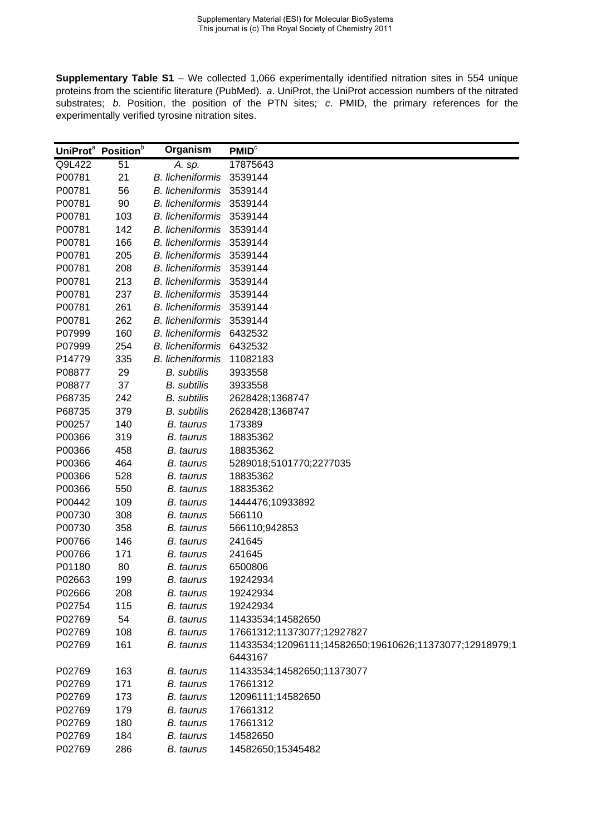**Supplementary Table S1** – We collected 1,066 experimentally identified nitration sites in 554 unique proteins from the scientific literature (PubMed). *a*. UniProt, the UniProt accession numbers of the nitrated substrates; *b*. Position, the position of the PTN sites; *c*. PMID, the primary references for the experimentally verified tyrosine nitration sites.

|        | UniProt <sup>a</sup> Position <sup>b</sup> | Organism                | PMID <sup>c</sup>                                                  |
|--------|--------------------------------------------|-------------------------|--------------------------------------------------------------------|
| Q9L422 | 51                                         | A. sp.                  | 17875643                                                           |
| P00781 | 21                                         | <b>B.</b> licheniformis | 3539144                                                            |
| P00781 | 56                                         | <b>B.</b> licheniformis | 3539144                                                            |
| P00781 | 90                                         | <b>B.</b> licheniformis | 3539144                                                            |
| P00781 | 103                                        | <b>B.</b> licheniformis | 3539144                                                            |
| P00781 | 142                                        | <b>B.</b> licheniformis | 3539144                                                            |
| P00781 | 166                                        | <b>B.</b> licheniformis | 3539144                                                            |
| P00781 | 205                                        | <b>B.</b> licheniformis | 3539144                                                            |
| P00781 | 208                                        | <b>B.</b> licheniformis | 3539144                                                            |
| P00781 | 213                                        | <b>B.</b> licheniformis | 3539144                                                            |
| P00781 | 237                                        | <b>B.</b> licheniformis | 3539144                                                            |
| P00781 | 261                                        | <b>B.</b> licheniformis | 3539144                                                            |
| P00781 | 262                                        | <b>B.</b> licheniformis | 3539144                                                            |
| P07999 | 160                                        | <b>B.</b> licheniformis | 6432532                                                            |
| P07999 | 254                                        | <b>B.</b> licheniformis | 6432532                                                            |
| P14779 | 335                                        | <b>B.</b> licheniformis | 11082183                                                           |
| P08877 | 29                                         | <b>B.</b> subtilis      | 3933558                                                            |
| P08877 | 37                                         | <b>B.</b> subtilis      | 3933558                                                            |
| P68735 | 242                                        | <b>B.</b> subtilis      | 2628428;1368747                                                    |
| P68735 | 379                                        | <b>B.</b> subtilis      | 2628428;1368747                                                    |
| P00257 | 140                                        | <b>B.</b> taurus        | 173389                                                             |
| P00366 | 319                                        | <b>B.</b> taurus        | 18835362                                                           |
| P00366 | 458                                        | <b>B.</b> taurus        | 18835362                                                           |
| P00366 | 464                                        | <b>B.</b> taurus        | 5289018;5101770;2277035                                            |
| P00366 | 528                                        | <b>B.</b> taurus        | 18835362                                                           |
| P00366 | 550                                        | B. taurus               | 18835362                                                           |
| P00442 | 109                                        | <b>B.</b> taurus        | 1444476;10933892                                                   |
| P00730 | 308                                        | <b>B.</b> taurus        | 566110                                                             |
| P00730 | 358                                        | <b>B.</b> taurus        | 566110;942853                                                      |
| P00766 | 146                                        | <b>B.</b> taurus        | 241645                                                             |
| P00766 | 171                                        | <b>B.</b> taurus        | 241645                                                             |
| P01180 | 80                                         | <b>B.</b> taurus        | 6500806                                                            |
| P02663 | 199                                        | <b>B.</b> taurus        | 19242934                                                           |
| P02666 | 208                                        | <b>B.</b> taurus        | 19242934                                                           |
| P02754 | 115                                        | B. taurus               | 19242934                                                           |
| P02769 | 54                                         | B. taurus               | 11433534;14582650                                                  |
| P02769 | 108                                        | B. taurus               | 17661312;11373077;12927827                                         |
| P02769 | 161                                        | B. taurus               | 11433534;12096111;14582650;19610626;11373077;12918979;1<br>6443167 |
| P02769 | 163                                        | <b>B.</b> taurus        | 11433534;14582650;11373077                                         |
| P02769 | 171                                        | B. taurus               | 17661312                                                           |
| P02769 | 173                                        | B. taurus               | 12096111;14582650                                                  |
| P02769 | 179                                        | B. taurus               | 17661312                                                           |
| P02769 | 180                                        | <b>B.</b> taurus        | 17661312                                                           |
| P02769 | 184                                        | B. taurus               | 14582650                                                           |
| P02769 | 286                                        | <b>B.</b> taurus        | 14582650;15345482                                                  |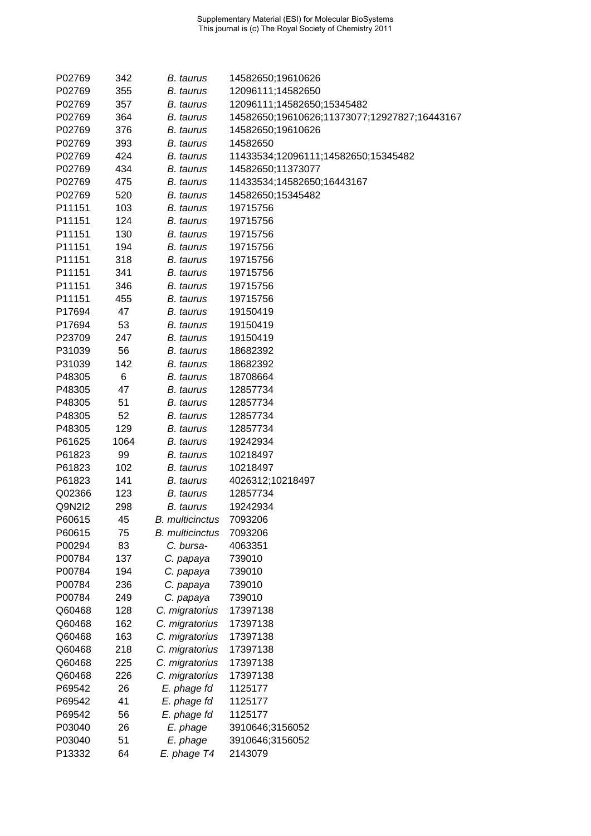| P02769 | 342  | B. taurus              | 14582650;19610626                            |
|--------|------|------------------------|----------------------------------------------|
| P02769 | 355  | B. taurus              | 12096111;14582650                            |
| P02769 | 357  | B. taurus              | 12096111;14582650;15345482                   |
| P02769 | 364  | B. taurus              | 14582650;19610626;11373077;12927827;16443167 |
| P02769 | 376  | <b>B.</b> taurus       | 14582650;19610626                            |
| P02769 | 393  | B. taurus              | 14582650                                     |
| P02769 | 424  | B. taurus              | 11433534;12096111;14582650;15345482          |
| P02769 | 434  | B. taurus              | 14582650;11373077                            |
| P02769 | 475  | <b>B.</b> taurus       | 11433534;14582650;16443167                   |
| P02769 | 520  | B. taurus              | 14582650;15345482                            |
| P11151 | 103  | B. taurus              | 19715756                                     |
| P11151 | 124  | B. taurus              | 19715756                                     |
| P11151 | 130  | <b>B.</b> taurus       | 19715756                                     |
| P11151 | 194  | B. taurus              | 19715756                                     |
| P11151 | 318  | B. taurus              | 19715756                                     |
| P11151 | 341  | <b>B.</b> taurus       | 19715756                                     |
| P11151 | 346  | B. taurus              | 19715756                                     |
| P11151 | 455  | B. taurus              | 19715756                                     |
| P17694 | 47   | B. taurus              | 19150419                                     |
| P17694 | 53   | B. taurus              | 19150419                                     |
| P23709 | 247  | <b>B.</b> taurus       | 19150419                                     |
| P31039 | 56   | B. taurus              | 18682392                                     |
| P31039 | 142  | B. taurus              | 18682392                                     |
| P48305 | 6    | <b>B.</b> taurus       | 18708664                                     |
| P48305 | 47   | B. taurus              | 12857734                                     |
| P48305 | 51   | <b>B.</b> taurus       | 12857734                                     |
| P48305 | 52   | B. taurus              | 12857734                                     |
| P48305 | 129  | B. taurus              | 12857734                                     |
| P61625 | 1064 | B. taurus              | 19242934                                     |
| P61823 | 99   | B. taurus              | 10218497                                     |
| P61823 | 102  | B. taurus              | 10218497                                     |
| P61823 | 141  | B. taurus              | 4026312;10218497                             |
| Q02366 | 123  | <b>B.</b> taurus       | 12857734                                     |
| Q9N2I2 | 298  | B. taurus              | 19242934                                     |
| P60615 | 45   | <b>B.</b> multicinctus | 7093206                                      |
| P60615 | 75   | <b>B.</b> multicinctus | 7093206                                      |
| P00294 | 83   | C. bursa-              | 4063351                                      |
| P00784 | 137  | C. papaya              | 739010                                       |
| P00784 | 194  | C. papaya              | 739010                                       |
| P00784 | 236  | C. papaya              | 739010                                       |
| P00784 | 249  | C. papaya              | 739010                                       |
| Q60468 | 128  | C. migratorius         | 17397138                                     |
| Q60468 | 162  | C. migratorius         | 17397138                                     |
| Q60468 | 163  | C. migratorius         | 17397138                                     |
| Q60468 | 218  | C. migratorius         | 17397138                                     |
| Q60468 | 225  | C. migratorius         | 17397138                                     |
| Q60468 | 226  | C. migratorius         | 17397138                                     |
| P69542 | 26   | E. phage fd            | 1125177                                      |
| P69542 | 41   | E. phage fd            | 1125177                                      |
| P69542 | 56   | E. phage fd            | 1125177                                      |
| P03040 | 26   | E. phage               | 3910646;3156052                              |
| P03040 | 51   | E. phage               | 3910646;3156052                              |
| P13332 | 64   | E. phage T4            | 2143079                                      |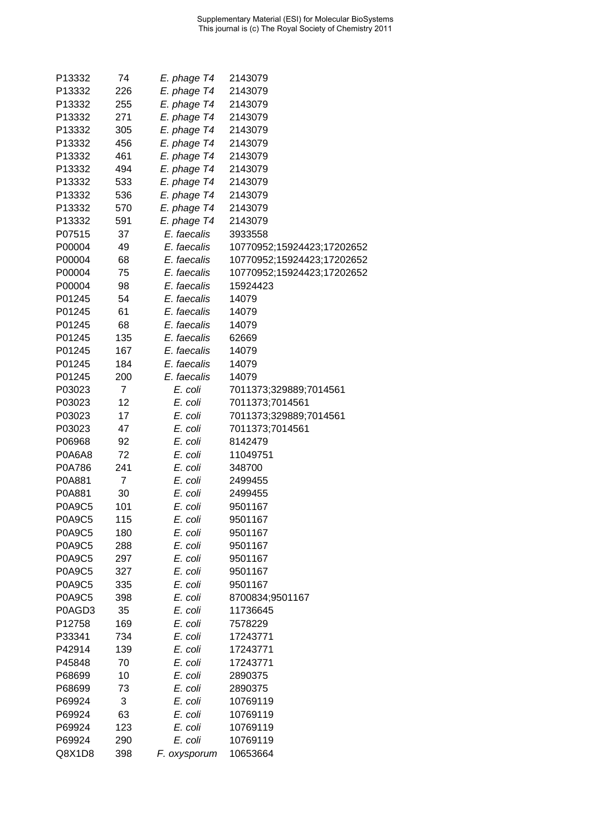| P13332        | 74             | E. phage T4  | 2143079                    |
|---------------|----------------|--------------|----------------------------|
| P13332        | 226            | E. phage T4  | 2143079                    |
| P13332        | 255            | E. phage T4  | 2143079                    |
| P13332        | 271            | E. phage T4  | 2143079                    |
| P13332        | 305            | E. phage T4  | 2143079                    |
| P13332        | 456            | E. phage T4  | 2143079                    |
| P13332        | 461            | E. phage T4  | 2143079                    |
| P13332        | 494            | E. phage T4  | 2143079                    |
| P13332        | 533            | E. phage T4  | 2143079                    |
| P13332        | 536            | E. phage T4  | 2143079                    |
| P13332        | 570            | E. phage T4  | 2143079                    |
| P13332        | 591            | E. phage T4  | 2143079                    |
| P07515        | 37             | E. faecalis  | 3933558                    |
| P00004        | 49             | E. faecalis  | 10770952;15924423;17202652 |
| P00004        | 68             | E. faecalis  | 10770952;15924423;17202652 |
| P00004        | 75             | E. faecalis  | 10770952;15924423;17202652 |
| P00004        | 98             | E. faecalis  | 15924423                   |
| P01245        | 54             | E. faecalis  | 14079                      |
| P01245        | 61             | E. faecalis  | 14079                      |
| P01245        | 68             | E. faecalis  | 14079                      |
| P01245        | 135            | E. faecalis  | 62669                      |
| P01245        | 167            | E. faecalis  | 14079                      |
| P01245        | 184            | E. faecalis  | 14079                      |
| P01245        | 200            | E. faecalis  | 14079                      |
| P03023        | $\overline{7}$ | E. coli      | 7011373;329889;7014561     |
| P03023        | 12             | E. coli      | 7011373;7014561            |
| P03023        | 17             | E. coli      | 7011373;329889;7014561     |
| P03023        | 47             | E. coli      | 7011373;7014561            |
| P06968        | 92             | E. coli      | 8142479                    |
| P0A6A8        | 72             | E. coli      | 11049751                   |
| P0A786        | 241            | E. coli      | 348700                     |
| P0A881        | 7              |              |                            |
|               |                | E. coli      | 2499455                    |
| P0A881        | 30             | E. coli      | 2499455                    |
| P0A9C5        | 101            | E. coli      | 9501167                    |
| <b>P0A9C5</b> | 115            | E. coli      | 9501167                    |
| <b>P0A9C5</b> | 180            | E. coli      | 9501167                    |
| <b>P0A9C5</b> | 288            | E. coli      | 9501167                    |
| <b>P0A9C5</b> | 297            | E. coli      | 9501167                    |
| <b>P0A9C5</b> | 327            | E. coli      | 9501167                    |
| <b>P0A9C5</b> | 335            | E. coli      | 9501167                    |
| <b>P0A9C5</b> | 398            | E. coli      | 8700834;9501167            |
| P0AGD3        | 35             | E. coli      | 11736645                   |
| P12758        | 169            | E. coli      | 7578229                    |
| P33341        | 734            | E. coli      | 17243771                   |
| P42914        | 139            | E. coli      | 17243771                   |
| P45848        | 70             | E. coli      | 17243771                   |
| P68699        | 10             | E. coli      | 2890375                    |
| P68699        | 73             | E. coli      | 2890375                    |
| P69924        | 3              | E. coli      | 10769119                   |
| P69924        | 63             | E. coli      | 10769119                   |
| P69924        | 123            | E. coli      | 10769119                   |
| P69924        | 290            | E. coli      | 10769119                   |
| Q8X1D8        | 398            | F. oxysporum | 10653664                   |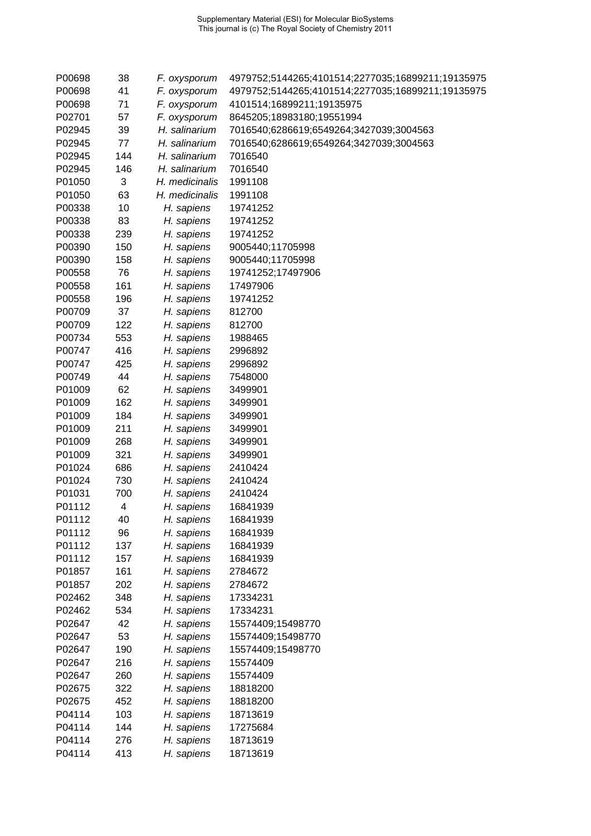| P00698 | 38  | F. oxysporum   | 4979752;5144265;4101514;2277035;16899211;19135975 |
|--------|-----|----------------|---------------------------------------------------|
| P00698 | 41  | F. oxysporum   | 4979752;5144265;4101514;2277035;16899211;19135975 |
| P00698 | 71  | F. oxysporum   | 4101514;16899211;19135975                         |
| P02701 | 57  | F. oxysporum   | 8645205;18983180;19551994                         |
| P02945 | 39  | H. salinarium  | 7016540;6286619;6549264;3427039;3004563           |
| P02945 | 77  | H. salinarium  | 7016540;6286619;6549264;3427039;3004563           |
| P02945 | 144 | H. salinarium  | 7016540                                           |
| P02945 | 146 | H. salinarium  | 7016540                                           |
| P01050 | 3   | H. medicinalis | 1991108                                           |
| P01050 | 63  | H. medicinalis | 1991108                                           |
| P00338 | 10  | H. sapiens     | 19741252                                          |
| P00338 | 83  | H. sapiens     | 19741252                                          |
| P00338 | 239 | H. sapiens     | 19741252                                          |
| P00390 | 150 | H. sapiens     | 9005440;11705998                                  |
| P00390 | 158 | H. sapiens     | 9005440;11705998                                  |
| P00558 | 76  | H. sapiens     | 19741252;17497906                                 |
| P00558 | 161 | H. sapiens     | 17497906                                          |
| P00558 | 196 | H. sapiens     | 19741252                                          |
| P00709 | 37  | H. sapiens     | 812700                                            |
| P00709 | 122 | H. sapiens     | 812700                                            |
| P00734 | 553 | H. sapiens     | 1988465                                           |
| P00747 | 416 | H. sapiens     | 2996892                                           |
| P00747 | 425 | H. sapiens     | 2996892                                           |
| P00749 | 44  | H. sapiens     | 7548000                                           |
| P01009 | 62  | H. sapiens     | 3499901                                           |
| P01009 | 162 | H. sapiens     | 3499901                                           |
| P01009 | 184 | H. sapiens     | 3499901                                           |
| P01009 | 211 | H. sapiens     | 3499901                                           |
| P01009 | 268 | H. sapiens     | 3499901                                           |
| P01009 | 321 | H. sapiens     | 3499901                                           |
| P01024 | 686 | H. sapiens     | 2410424                                           |
| P01024 | 730 | H. sapiens     | 2410424                                           |
| P01031 | 700 | H. sapiens     | 2410424                                           |
| P01112 | 4   | H. sapiens     | 16841939                                          |
| P01112 | 40  | H. sapiens     | 16841939                                          |
| P01112 | 96  | H. sapiens     | 16841939                                          |
| P01112 | 137 | H. sapiens     | 16841939                                          |
| P01112 | 157 | H. sapiens     | 16841939                                          |
| P01857 | 161 | H. sapiens     | 2784672                                           |
| P01857 | 202 | H. sapiens     | 2784672                                           |
| P02462 | 348 | H. sapiens     | 17334231                                          |
| P02462 | 534 | H. sapiens     | 17334231                                          |
| P02647 | 42  | H. sapiens     | 15574409;15498770                                 |
| P02647 | 53  | H. sapiens     | 15574409;15498770                                 |
| P02647 | 190 | H. sapiens     | 15574409;15498770                                 |
| P02647 | 216 | H. sapiens     | 15574409                                          |
| P02647 | 260 | H. sapiens     | 15574409                                          |
| P02675 | 322 | H. sapiens     | 18818200                                          |
| P02675 | 452 | H. sapiens     | 18818200                                          |
| P04114 | 103 | H. sapiens     | 18713619                                          |
| P04114 | 144 | H. sapiens     | 17275684                                          |
| P04114 | 276 | H. sapiens     | 18713619                                          |
| P04114 | 413 | H. sapiens     | 18713619                                          |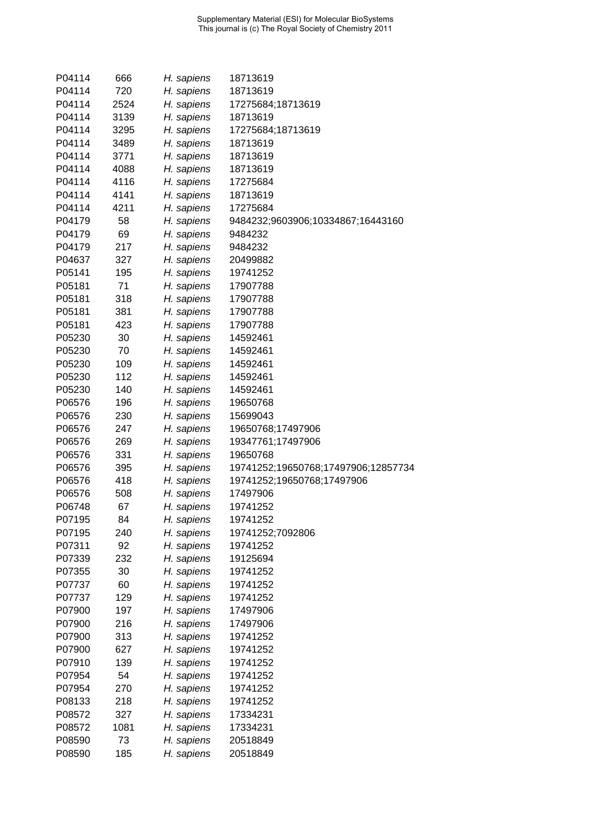| P04114 | 666  | H. sapiens | 18713619                            |
|--------|------|------------|-------------------------------------|
| P04114 | 720  | H. sapiens | 18713619                            |
| P04114 | 2524 | H. sapiens | 17275684;18713619                   |
| P04114 | 3139 | H. sapiens | 18713619                            |
| P04114 | 3295 | H. sapiens | 17275684;18713619                   |
| P04114 | 3489 | H. sapiens | 18713619                            |
| P04114 | 3771 | H. sapiens | 18713619                            |
| P04114 | 4088 | H. sapiens | 18713619                            |
| P04114 | 4116 | H. sapiens | 17275684                            |
| P04114 | 4141 | H. sapiens | 18713619                            |
| P04114 | 4211 | H. sapiens | 17275684                            |
| P04179 | 58   | H. sapiens | 9484232;9603906;10334867;16443160   |
| P04179 | 69   | H. sapiens | 9484232                             |
| P04179 | 217  | H. sapiens | 9484232                             |
| P04637 | 327  | H. sapiens | 20499882                            |
| P05141 | 195  | H. sapiens | 19741252                            |
| P05181 | 71   | H. sapiens | 17907788                            |
| P05181 | 318  | H. sapiens | 17907788                            |
| P05181 | 381  | H. sapiens | 17907788                            |
| P05181 | 423  | H. sapiens | 17907788                            |
| P05230 | 30   | H. sapiens | 14592461                            |
| P05230 | 70   | H. sapiens | 14592461                            |
| P05230 | 109  | H. sapiens | 14592461                            |
| P05230 | 112  | H. sapiens | 14592461                            |
| P05230 | 140  | H. sapiens | 14592461                            |
| P06576 | 196  | H. sapiens | 19650768                            |
| P06576 | 230  | H. sapiens | 15699043                            |
| P06576 | 247  | H. sapiens | 19650768;17497906                   |
| P06576 | 269  | H. sapiens | 19347761;17497906                   |
| P06576 | 331  | H. sapiens | 19650768                            |
| P06576 | 395  | H. sapiens | 19741252;19650768;17497906;12857734 |
| P06576 | 418  | H. sapiens | 19741252;19650768;17497906          |
| P06576 | 508  | H. sapiens | 17497906                            |
| P06748 | 67   | H. sapiens | 19741252                            |
| P07195 | 84   | H. sapiens | 19741252                            |
| P07195 | 240  | H. sapiens | 19741252;7092806                    |
| P07311 | 92   | H. sapiens | 19741252                            |
| P07339 | 232  | H. sapiens | 19125694                            |
| P07355 | 30   | H. sapiens | 19741252                            |
| P07737 | 60   | H. sapiens | 19741252                            |
| P07737 | 129  | H. sapiens | 19741252                            |
| P07900 | 197  | H. sapiens | 17497906                            |
| P07900 | 216  | H. sapiens | 17497906                            |
| P07900 | 313  | H. sapiens | 19741252                            |
| P07900 | 627  | H. sapiens | 19741252                            |
| P07910 | 139  | H. sapiens | 19741252                            |
| P07954 | 54   | H. sapiens | 19741252                            |
| P07954 | 270  | H. sapiens | 19741252                            |
| P08133 | 218  | H. sapiens | 19741252                            |
| P08572 | 327  | H. sapiens | 17334231                            |
| P08572 | 1081 | H. sapiens | 17334231                            |
| P08590 | 73   | H. sapiens | 20518849                            |
| P08590 | 185  | H. sapiens | 20518849                            |
|        |      |            |                                     |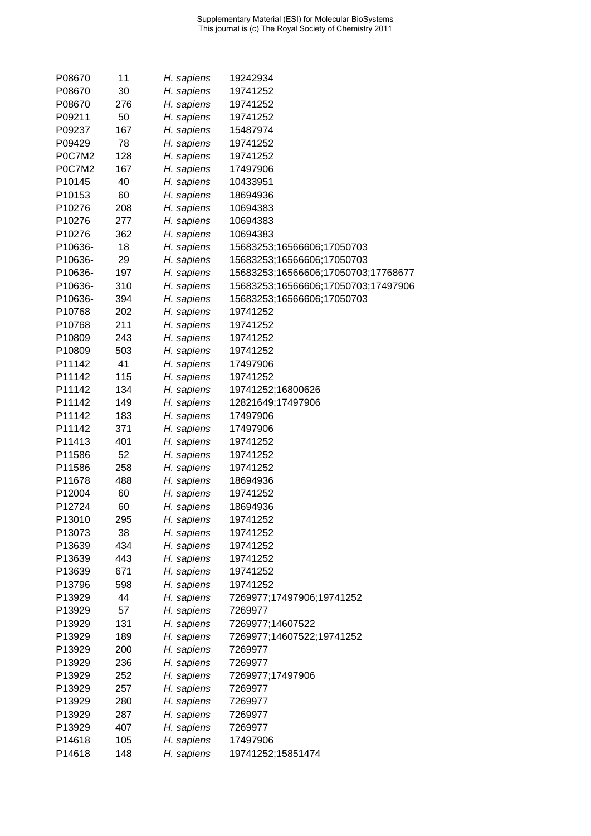| P08670        | 11  | H. sapiens | 19242934                            |
|---------------|-----|------------|-------------------------------------|
| P08670        | 30  | H. sapiens | 19741252                            |
| P08670        | 276 | H. sapiens | 19741252                            |
| P09211        | 50  | H. sapiens | 19741252                            |
| P09237        | 167 | H. sapiens | 15487974                            |
| P09429        | 78  | H. sapiens | 19741252                            |
| P0C7M2        | 128 | H. sapiens | 19741252                            |
| <b>P0C7M2</b> | 167 | H. sapiens | 17497906                            |
| P10145        | 40  | H. sapiens | 10433951                            |
| P10153        | 60  | H. sapiens | 18694936                            |
| P10276        | 208 | H. sapiens | 10694383                            |
| P10276        | 277 | H. sapiens | 10694383                            |
| P10276        | 362 | H. sapiens | 10694383                            |
| P10636-       | 18  | H. sapiens | 15683253;16566606;17050703          |
| P10636-       | 29  | H. sapiens | 15683253;16566606;17050703          |
| P10636-       | 197 | H. sapiens | 15683253;16566606;17050703;17768677 |
| P10636-       | 310 | H. sapiens | 15683253;16566606;17050703;17497906 |
|               |     |            |                                     |
| P10636-       | 394 | H. sapiens | 15683253;16566606;17050703          |
| P10768        | 202 | H. sapiens | 19741252                            |
| P10768        | 211 | H. sapiens | 19741252                            |
| P10809        | 243 | H. sapiens | 19741252                            |
| P10809        | 503 | H. sapiens | 19741252                            |
| P11142        | 41  | H. sapiens | 17497906                            |
| P11142        | 115 | H. sapiens | 19741252                            |
| P11142        | 134 | H. sapiens | 19741252;16800626                   |
| P11142        | 149 | H. sapiens | 12821649;17497906                   |
| P11142        | 183 | H. sapiens | 17497906                            |
| P11142        | 371 | H. sapiens | 17497906                            |
| P11413        | 401 | H. sapiens | 19741252                            |
| P11586        | 52  | H. sapiens | 19741252                            |
| P11586        | 258 | H. sapiens | 19741252                            |
| P11678        | 488 | H. sapiens | 18694936                            |
| P12004        | 60  | H. sapiens | 19741252                            |
| P12724        | 60  | H. sapiens | 18694936                            |
| P13010        | 295 | H. sapiens | 19741252                            |
| P13073        | 38  | H. sapiens | 19741252                            |
| P13639        | 434 | H. sapiens | 19741252                            |
| P13639        | 443 | H. sapiens | 19741252                            |
| P13639        | 671 | H. sapiens | 19741252                            |
| P13796        | 598 | H. sapiens | 19741252                            |
| P13929        | 44  | H. sapiens | 7269977;17497906;19741252           |
| P13929        | 57  | H. sapiens | 7269977                             |
| P13929        | 131 | H. sapiens | 7269977;14607522                    |
| P13929        | 189 | H. sapiens | 7269977;14607522;19741252           |
| P13929        | 200 | H. sapiens | 7269977                             |
| P13929        | 236 | H. sapiens | 7269977                             |
| P13929        | 252 | H. sapiens | 7269977;17497906                    |
| P13929        | 257 | H. sapiens | 7269977                             |
| P13929        | 280 | H. sapiens | 7269977                             |
| P13929        | 287 | H. sapiens | 7269977                             |
| P13929        | 407 | H. sapiens | 7269977                             |
| P14618        | 105 | H. sapiens | 17497906                            |
| P14618        | 148 | H. sapiens | 19741252;15851474                   |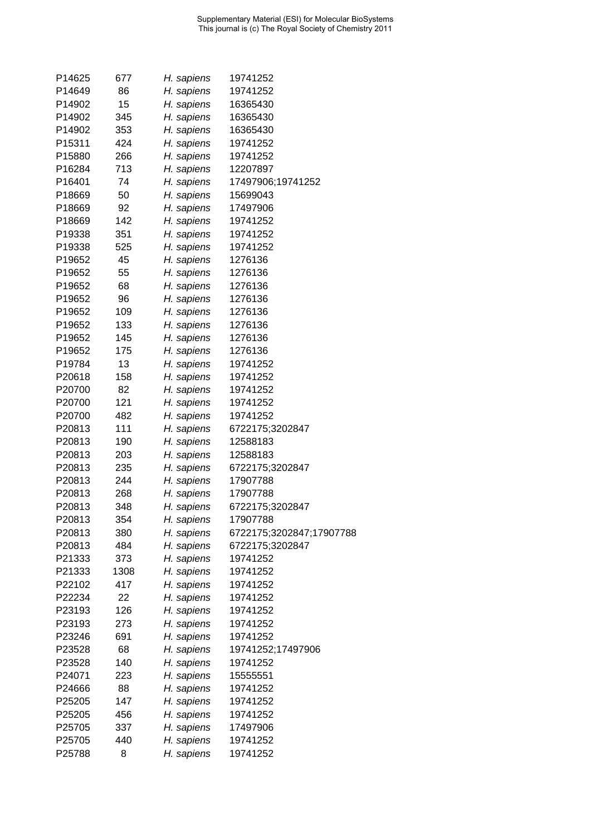| P14625             | 677  | H. sapiens | 19741252                 |
|--------------------|------|------------|--------------------------|
| P14649             | 86   | H. sapiens | 19741252                 |
| P14902             | 15   | H. sapiens | 16365430                 |
| P14902             | 345  | H. sapiens | 16365430                 |
| P14902             | 353  | H. sapiens | 16365430                 |
| P <sub>15311</sub> | 424  | H. sapiens | 19741252                 |
| P15880             | 266  | H. sapiens | 19741252                 |
| P16284             | 713  | H. sapiens | 12207897                 |
| P16401             | 74   | H. sapiens | 17497906;19741252        |
| P18669             | 50   | H. sapiens | 15699043                 |
| P18669             | 92   | H. sapiens | 17497906                 |
| P18669             | 142  | H. sapiens | 19741252                 |
| P19338             | 351  | H. sapiens | 19741252                 |
| P19338             | 525  | H. sapiens | 19741252                 |
| P19652             | 45   | H. sapiens | 1276136                  |
| P19652             | 55   | H. sapiens | 1276136                  |
| P19652             | 68   | H. sapiens | 1276136                  |
| P19652             | 96   | H. sapiens | 1276136                  |
| P19652             | 109  | H. sapiens | 1276136                  |
| P19652             | 133  | H. sapiens | 1276136                  |
| P19652             | 145  | H. sapiens | 1276136                  |
| P19652             | 175  | H. sapiens | 1276136                  |
| P19784             | 13   | H. sapiens | 19741252                 |
| P20618             | 158  | H. sapiens | 19741252                 |
| P20700             | 82   | H. sapiens | 19741252                 |
| P20700             | 121  | H. sapiens | 19741252                 |
| P20700             | 482  | H. sapiens | 19741252                 |
| P20813             | 111  | H. sapiens | 6722175;3202847          |
| P20813             | 190  | H. sapiens | 12588183                 |
| P20813             | 203  | H. sapiens | 12588183                 |
| P20813             | 235  | H. sapiens | 6722175;3202847          |
| P20813             | 244  | H. sapiens | 17907788                 |
| P20813             | 268  | H. sapiens | 17907788                 |
| P20813             | 348  | H. sapiens | 6722175;3202847          |
| P20813             | 354  | H. sapiens | 17907788                 |
| P20813             | 380  | H. sapiens | 6722175;3202847;17907788 |
| P20813             | 484  | H. sapiens | 6722175;3202847          |
| P21333             | 373  | H. sapiens | 19741252                 |
| P21333             | 1308 | H. sapiens | 19741252                 |
| P22102             | 417  | H. sapiens | 19741252                 |
| P22234             | 22   | H. sapiens | 19741252                 |
| P23193             | 126  | H. sapiens | 19741252                 |
| P23193             | 273  | H. sapiens | 19741252                 |
| P23246             | 691  | H. sapiens | 19741252                 |
| P23528             | 68   | H. sapiens | 19741252;17497906        |
| P23528             | 140  | H. sapiens | 19741252                 |
| P24071             | 223  | H. sapiens | 15555551                 |
| P24666             | 88   | H. sapiens | 19741252                 |
| P25205             | 147  | H. sapiens | 19741252                 |
| P25205             | 456  | H. sapiens | 19741252                 |
| P25705             | 337  | H. sapiens | 17497906                 |
| P25705             | 440  | H. sapiens | 19741252                 |
| P25788             | 8    | H. sapiens | 19741252                 |
|                    |      |            |                          |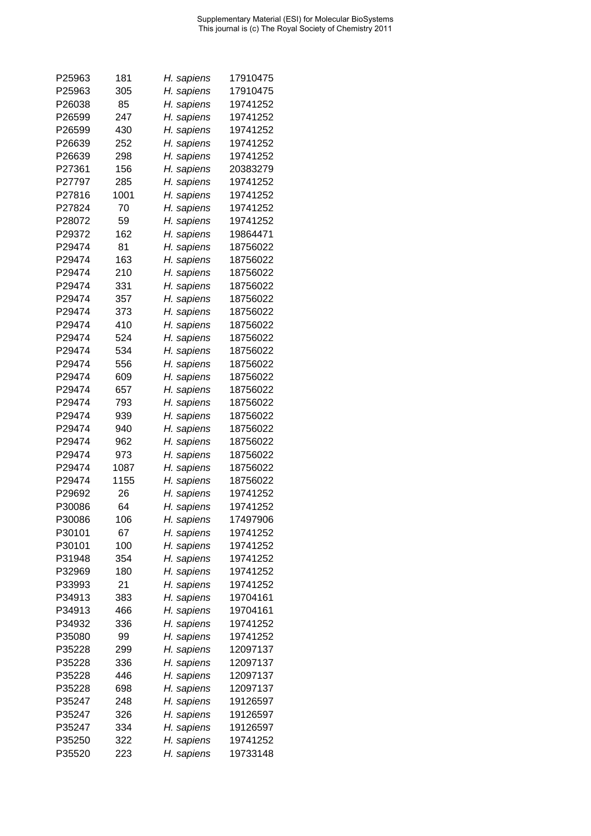| P25963           | 181        | H. sapiens               | 17910475             |
|------------------|------------|--------------------------|----------------------|
| P25963           | 305        | H. sapiens               | 17910475             |
| P26038           | 85         | H. sapiens               | 19741252             |
| P26599           | 247        | H. sapiens               | 19741252             |
| P26599           | 430        | H. sapiens               | 19741252             |
| P26639           | 252        | H. sapiens               | 19741252             |
| P26639           | 298        | H. sapiens               | 19741252             |
| P27361           | 156        | H. sapiens               | 20383279             |
| P27797           | 285        | H. sapiens               | 19741252             |
| P27816           | 1001       | H. sapiens               | 19741252             |
| P27824           | 70         | H. sapiens               | 19741252             |
| P28072           | 59         | H. sapiens               | 19741252             |
| P29372           | 162        | H. sapiens               | 19864471             |
| P29474           | 81         | H. sapiens               | 18756022             |
| P29474           | 163        | H. sapiens               | 18756022             |
| P29474           | 210        | H. sapiens               | 18756022             |
| P29474           | 331        | H. sapiens               | 18756022             |
| P29474           | 357        |                          | 18756022             |
| P29474           | 373        | H. sapiens               | 18756022             |
| P29474           | 410        | H. sapiens               | 18756022             |
| P29474           | 524        | H. sapiens<br>H. sapiens | 18756022             |
| P29474           | 534        | H. sapiens               | 18756022             |
|                  |            |                          |                      |
| P29474           | 556        | H. sapiens               | 18756022             |
| P29474           | 609        | H. sapiens               | 18756022             |
| P29474           | 657        | H. sapiens               | 18756022             |
| P29474<br>P29474 | 793<br>939 | H. sapiens               | 18756022<br>18756022 |
| P29474           | 940        | H. sapiens               | 18756022             |
| P29474           | 962        | H. sapiens               | 18756022             |
| P29474           | 973        | H. sapiens               | 18756022             |
|                  |            | H. sapiens               |                      |
| P29474           | 1087       | H. sapiens               | 18756022             |
| P29474           | 1155       | H. sapiens               | 18756022             |
| P29692           | 26         | H. sapiens               | 19741252             |
| P30086           | 64         | H. sapiens               | 19741252             |
| P30086           | 106        | H. sapiens               | 17497906             |
| P30101           | 67         | H. sapiens               | 19741252             |
| P30101           | 100        | H. sapiens               | 19741252             |
| P31948           | 354        | H. sapiens               | 19741252             |
| P32969           | 180        | H. sapiens               | 19741252             |
| P33993           | 21         | H. sapiens               | 19741252             |
| P34913           | 383        | H. sapiens               | 19704161             |
| P34913           | 466        | H. sapiens               | 19704161             |
| P34932           | 336        | H. sapiens               | 19741252             |
| P35080           | 99         | H. sapiens               | 19741252             |
| P35228           | 299        | H. sapiens               | 12097137             |
| P35228           | 336        | H. sapiens               | 12097137             |
| P35228           | 446        | H. sapiens               | 12097137             |
| P35228           | 698        | H. sapiens               | 12097137             |
| P35247           | 248        | H. sapiens               | 19126597             |
| P35247           | 326        | H. sapiens               | 19126597             |
| P35247           | 334        | H. sapiens               | 19126597             |
| P35250           | 322        | H. sapiens               | 19741252             |
| P35520           | 223        | H. sapiens               | 19733148             |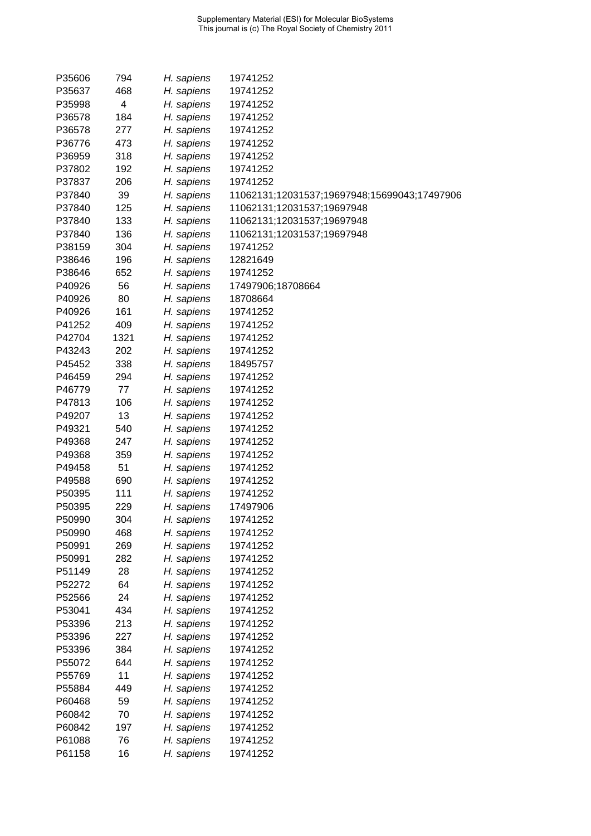| P35606 | 794        | H. sapiens | 19741252                                     |
|--------|------------|------------|----------------------------------------------|
| P35637 | 468        | H. sapiens | 19741252                                     |
| P35998 | 4          | H. sapiens | 19741252                                     |
| P36578 | 184        | H. sapiens | 19741252                                     |
| P36578 | 277        | H. sapiens | 19741252                                     |
| P36776 | 473        | H. sapiens | 19741252                                     |
| P36959 | 318        | H. sapiens | 19741252                                     |
| P37802 | 192        | H. sapiens | 19741252                                     |
| P37837 | 206        | H. sapiens | 19741252                                     |
| P37840 | 39         | H. sapiens | 11062131;12031537;19697948;15699043;17497906 |
| P37840 | 125        | H. sapiens | 11062131;12031537;19697948                   |
| P37840 | 133        | H. sapiens | 11062131;12031537;19697948                   |
| P37840 | 136        | H. sapiens | 11062131;12031537;19697948                   |
| P38159 | 304        | H. sapiens | 19741252                                     |
| P38646 | 196        | H. sapiens | 12821649                                     |
| P38646 | 652        | H. sapiens | 19741252                                     |
| P40926 | 56         | H. sapiens | 17497906;18708664                            |
| P40926 | 80         | H. sapiens | 18708664                                     |
| P40926 | 161        | H. sapiens | 19741252                                     |
| P41252 | 409        | H. sapiens | 19741252                                     |
| P42704 | 1321       | H. sapiens | 19741252                                     |
| P43243 | 202        | H. sapiens | 19741252                                     |
| P45452 | 338        | H. sapiens | 18495757                                     |
| P46459 | 294        | H. sapiens | 19741252                                     |
| P46779 | 77         | H. sapiens | 19741252                                     |
| P47813 | 106        | H. sapiens | 19741252                                     |
| P49207 | 13         | H. sapiens | 19741252                                     |
| P49321 | 540        | H. sapiens | 19741252                                     |
| P49368 | 247        | H. sapiens | 19741252                                     |
| P49368 | 359        | H. sapiens | 19741252                                     |
| P49458 | 51         | H. sapiens | 19741252                                     |
| P49588 | 690        | H. sapiens | 19741252                                     |
| P50395 | 111        | H. sapiens | 19741252                                     |
| P50395 | 229        | H. sapiens | 17497906                                     |
| P50990 | 304        | H. sapiens | 19741252                                     |
| P50990 | 468        | H. sapiens | 19741252                                     |
| P50991 | 269        | H. sapiens | 19741252                                     |
| P50991 | 282        | H. sapiens | 19741252                                     |
| P51149 | 28         |            | 19741252                                     |
| P52272 | 64         | H. sapiens | 19741252                                     |
| P52566 | 24         | H. sapiens | 19741252                                     |
| P53041 | 434        | H. sapiens |                                              |
| P53396 | 213        | H. sapiens | 19741252                                     |
|        |            | H. sapiens | 19741252                                     |
| P53396 | 227<br>384 | H. sapiens | 19741252                                     |
| P53396 |            | H. sapiens | 19741252                                     |
| P55072 | 644<br>11  | H. sapiens | 19741252                                     |
| P55769 |            | H. sapiens | 19741252                                     |
| P55884 | 449<br>59  | H. sapiens | 19741252                                     |
| P60468 |            | H. sapiens | 19741252                                     |
| P60842 | 70         | H. sapiens | 19741252                                     |
| P60842 | 197        | H. sapiens | 19741252                                     |
| P61088 | 76         | H. sapiens | 19741252                                     |
| P61158 | 16         | H. sapiens | 19741252                                     |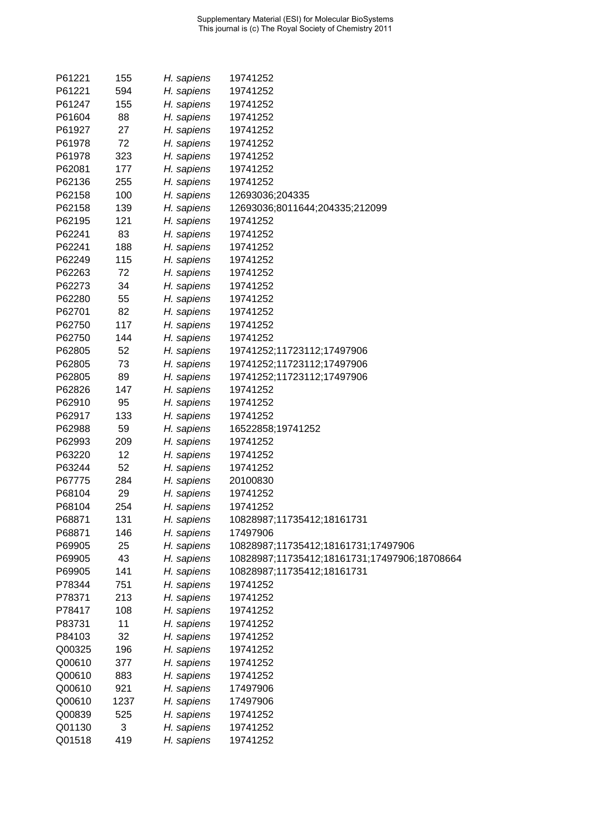| P61221 | 155  | H. sapiens | 19741252                                     |
|--------|------|------------|----------------------------------------------|
| P61221 | 594  | H. sapiens | 19741252                                     |
| P61247 | 155  | H. sapiens | 19741252                                     |
| P61604 | 88   | H. sapiens | 19741252                                     |
| P61927 | 27   | H. sapiens | 19741252                                     |
| P61978 | 72   | H. sapiens | 19741252                                     |
| P61978 | 323  | H. sapiens | 19741252                                     |
| P62081 | 177  | H. sapiens | 19741252                                     |
| P62136 | 255  | H. sapiens | 19741252                                     |
| P62158 | 100  | H. sapiens | 12693036;204335                              |
| P62158 | 139  | H. sapiens | 12693036;8011644;204335;212099               |
| P62195 | 121  | H. sapiens | 19741252                                     |
| P62241 | 83   | H. sapiens | 19741252                                     |
| P62241 | 188  | H. sapiens | 19741252                                     |
| P62249 | 115  | H. sapiens | 19741252                                     |
| P62263 | 72   | H. sapiens | 19741252                                     |
| P62273 | 34   | H. sapiens | 19741252                                     |
| P62280 | 55   | H. sapiens | 19741252                                     |
| P62701 | 82   | H. sapiens | 19741252                                     |
| P62750 | 117  | H. sapiens | 19741252                                     |
| P62750 | 144  | H. sapiens | 19741252                                     |
| P62805 | 52   | H. sapiens | 19741252;11723112;17497906                   |
| P62805 | 73   | H. sapiens | 19741252;11723112;17497906                   |
| P62805 | 89   | H. sapiens | 19741252;11723112;17497906                   |
| P62826 | 147  | H. sapiens | 19741252                                     |
| P62910 | 95   | H. sapiens | 19741252                                     |
| P62917 | 133  | H. sapiens | 19741252                                     |
| P62988 | 59   | H. sapiens | 16522858;19741252                            |
| P62993 | 209  | H. sapiens | 19741252                                     |
| P63220 | 12   | H. sapiens | 19741252                                     |
| P63244 | 52   | H. sapiens | 19741252                                     |
| P67775 | 284  | H. sapiens | 20100830                                     |
| P68104 | 29   | H. sapiens | 19741252                                     |
| P68104 | 254  | H. sapiens | 19741252                                     |
| P68871 | 131  | H. sapiens | 10828987;11735412;18161731                   |
| P68871 | 146  | H. sapiens | 17497906                                     |
| P69905 | 25   | H. sapiens | 10828987;11735412;18161731;17497906          |
| P69905 | 43   | H. sapiens | 10828987;11735412;18161731;17497906;18708664 |
| P69905 | 141  | H. sapiens | 10828987;11735412;18161731                   |
| P78344 | 751  | H. sapiens | 19741252                                     |
| P78371 | 213  | H. sapiens | 19741252                                     |
| P78417 | 108  | H. sapiens | 19741252                                     |
| P83731 | 11   | H. sapiens | 19741252                                     |
| P84103 | 32   | H. sapiens | 19741252                                     |
| Q00325 | 196  | H. sapiens | 19741252                                     |
| Q00610 | 377  | H. sapiens | 19741252                                     |
| Q00610 | 883  | H. sapiens | 19741252                                     |
| Q00610 | 921  | H. sapiens | 17497906                                     |
| Q00610 | 1237 | H. sapiens | 17497906                                     |
| Q00839 | 525  | H. sapiens | 19741252                                     |
| Q01130 | 3    | H. sapiens | 19741252                                     |
| Q01518 | 419  | H. sapiens | 19741252                                     |
|        |      |            |                                              |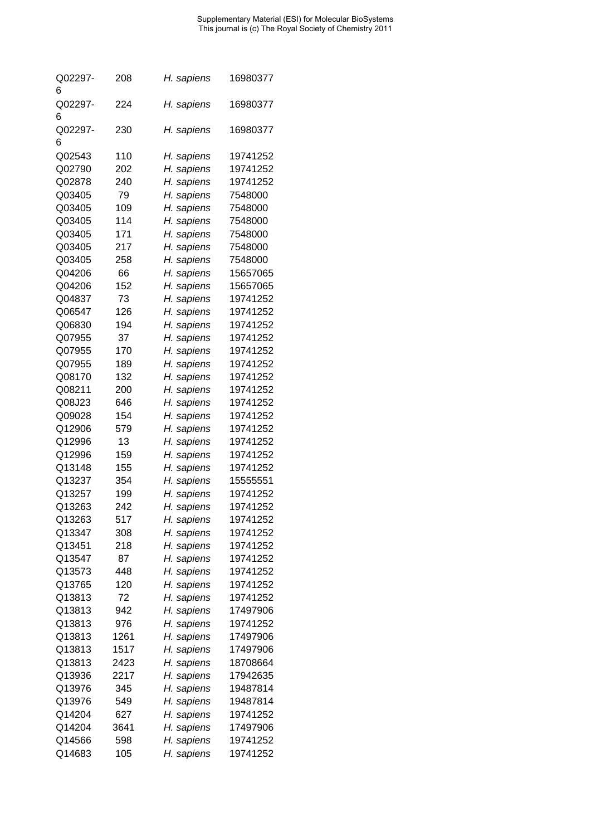| Q02297- | 208  | H. sapiens | 16980377 |
|---------|------|------------|----------|
| 6       |      |            |          |
| Q02297- | 224  | H. sapiens | 16980377 |
| 6       |      |            |          |
| Q02297- | 230  | H. sapiens | 16980377 |
| 6       |      |            |          |
| Q02543  | 110  | H. sapiens | 19741252 |
| Q02790  | 202  | H. sapiens | 19741252 |
| Q02878  | 240  | H. sapiens | 19741252 |
| Q03405  | 79   | H. sapiens | 7548000  |
| Q03405  | 109  | H. sapiens | 7548000  |
|         | 114  |            |          |
| Q03405  |      | H. sapiens | 7548000  |
| Q03405  | 171  | H. sapiens | 7548000  |
| Q03405  | 217  | H. sapiens | 7548000  |
| Q03405  | 258  | H. sapiens | 7548000  |
| Q04206  | 66   | H. sapiens | 15657065 |
| Q04206  | 152  | H. sapiens | 15657065 |
| Q04837  | 73   | H. sapiens | 19741252 |
| Q06547  | 126  | H. sapiens | 19741252 |
| Q06830  | 194  | H. sapiens | 19741252 |
| Q07955  | 37   | H. sapiens | 19741252 |
| Q07955  | 170  | H. sapiens | 19741252 |
| Q07955  | 189  | H. sapiens | 19741252 |
| Q08170  | 132  | H. sapiens | 19741252 |
| Q08211  | 200  | H. sapiens | 19741252 |
| Q08J23  | 646  | H. sapiens | 19741252 |
| Q09028  | 154  | H. sapiens | 19741252 |
| Q12906  | 579  | H. sapiens | 19741252 |
| Q12996  | 13   | H. sapiens | 19741252 |
| Q12996  | 159  | H. sapiens | 19741252 |
| Q13148  | 155  | H. sapiens | 19741252 |
|         |      |            |          |
| Q13237  | 354  | H. sapiens | 15555551 |
| Q13257  | 199  | H. sapiens | 19741252 |
| Q13263  | 242  | H. sapiens | 19741252 |
| Q13263  | 517  | H. sapiens | 19741252 |
| Q13347  | 308  | H. sapiens | 19741252 |
| Q13451  | 218  | H. sapiens | 19741252 |
| Q13547  | 87   | H. sapiens | 19741252 |
| Q13573  | 448  | H. sapiens | 19741252 |
| Q13765  | 120  | H. sapiens | 19741252 |
| Q13813  | 72   | H. sapiens | 19741252 |
| Q13813  | 942  | H. sapiens | 17497906 |
| Q13813  | 976  | H. sapiens | 19741252 |
| Q13813  | 1261 | H. sapiens | 17497906 |
| Q13813  | 1517 | H. sapiens | 17497906 |
| Q13813  | 2423 | H. sapiens | 18708664 |
| Q13936  | 2217 | H. sapiens | 17942635 |
| Q13976  | 345  | H. sapiens | 19487814 |
| Q13976  | 549  | H. sapiens | 19487814 |
| Q14204  | 627  | H. sapiens | 19741252 |
|         |      |            |          |
| Q14204  | 3641 | H. sapiens | 17497906 |
| Q14566  | 598  | H. sapiens | 19741252 |
| Q14683  | 105  | H. sapiens | 19741252 |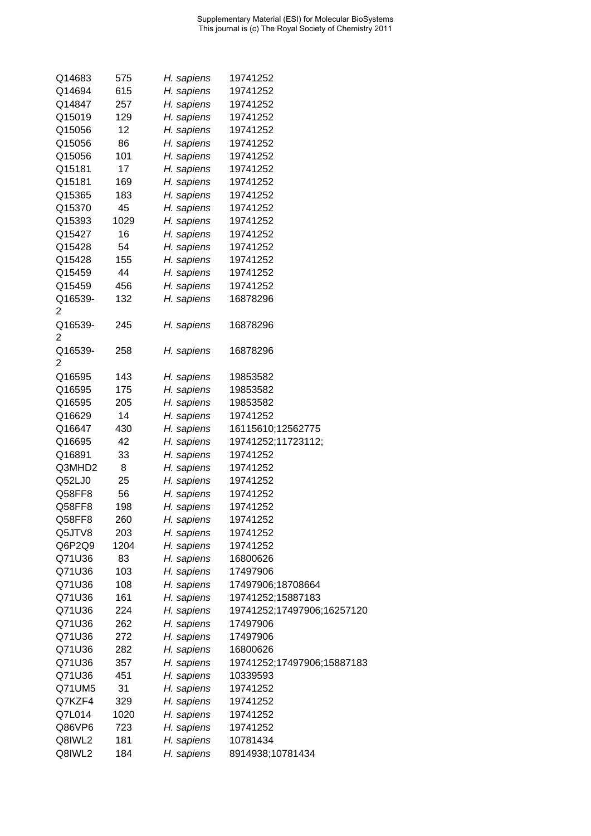| Q14683       | 575  | H. sapiens | 19741252                   |
|--------------|------|------------|----------------------------|
| Q14694       | 615  | H. sapiens | 19741252                   |
| Q14847       | 257  | H. sapiens | 19741252                   |
| Q15019       | 129  | H. sapiens | 19741252                   |
| Q15056       | 12   | H. sapiens | 19741252                   |
| Q15056       | 86   | H. sapiens | 19741252                   |
| Q15056       | 101  | H. sapiens | 19741252                   |
| Q15181       | 17   | H. sapiens | 19741252                   |
| Q15181       | 169  | H. sapiens | 19741252                   |
| Q15365       | 183  | H. sapiens | 19741252                   |
| Q15370       | 45   | H. sapiens | 19741252                   |
| Q15393       | 1029 | H. sapiens | 19741252                   |
| Q15427       | 16   | H. sapiens | 19741252                   |
| Q15428       | 54   |            |                            |
|              |      | H. sapiens | 19741252                   |
| Q15428       | 155  | H. sapiens | 19741252                   |
| Q15459       | 44   | H. sapiens | 19741252                   |
| Q15459       | 456  | H. sapiens | 19741252                   |
| Q16539-<br>2 | 132  | H. sapiens | 16878296                   |
| Q16539-<br>2 | 245  | H. sapiens | 16878296                   |
| Q16539-      | 258  | H. sapiens | 16878296                   |
| 2            |      |            |                            |
|              |      |            |                            |
| Q16595       | 143  | H. sapiens | 19853582                   |
| Q16595       | 175  | H. sapiens | 19853582                   |
| Q16595       | 205  | H. sapiens | 19853582                   |
| Q16629       | 14   | H. sapiens | 19741252                   |
| Q16647       | 430  | H. sapiens | 16115610;12562775          |
| Q16695       | 42   | H. sapiens | 19741252;11723112;         |
| Q16891       | 33   | H. sapiens | 19741252                   |
| Q3MHD2       | 8    | H. sapiens | 19741252                   |
| Q52LJ0       | 25   | H. sapiens | 19741252                   |
| Q58FF8       | 56   | H. sapiens | 19741252                   |
| Q58FF8       | 198  | H. sapiens | 19741252                   |
| Q58FF8       | 260  | H. sapiens | 19741252                   |
| Q5JTV8       | 203  | H. sapiens | 19741252                   |
| Q6P2Q9       | 1204 | H. sapiens | 19741252                   |
| Q71U36       | 83   | H. sapiens | 16800626                   |
| Q71U36       | 103  | H. sapiens | 17497906                   |
| Q71U36       | 108  | H. sapiens | 17497906;18708664          |
| Q71U36       | 161  | H. sapiens | 19741252;15887183          |
| Q71U36       | 224  | H. sapiens | 19741252;17497906;16257120 |
| Q71U36       | 262  | H. sapiens | 17497906                   |
| Q71U36       | 272  | H. sapiens | 17497906                   |
| Q71U36       | 282  | H. sapiens | 16800626                   |
| Q71U36       | 357  | H. sapiens | 19741252;17497906;15887183 |
| Q71U36       | 451  | H. sapiens | 10339593                   |
| Q71UM5       | 31   | H. sapiens | 19741252                   |
| Q7KZF4       | 329  | H. sapiens | 19741252                   |
| Q7L014       | 1020 | H. sapiens | 19741252                   |
| Q86VP6       | 723  | H. sapiens | 19741252                   |
| Q8IWL2       | 181  | H. sapiens | 10781434                   |
| Q8IWL2       | 184  | H. sapiens | 8914938;10781434           |
|              |      |            |                            |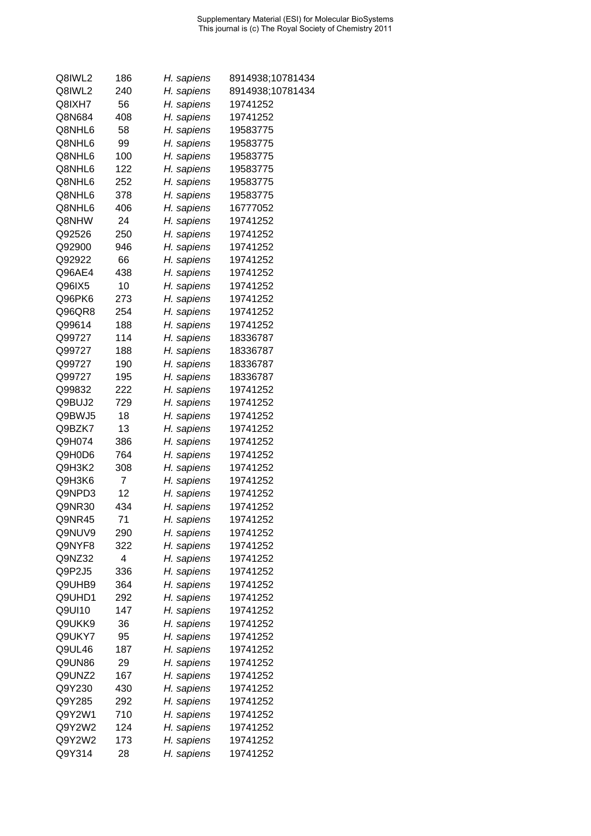| Q8IWL2 | 186 | H. sapiens | 8914938;10781434 |
|--------|-----|------------|------------------|
| Q8IWL2 | 240 | H. sapiens | 8914938;10781434 |
| Q8IXH7 | 56  | H. sapiens | 19741252         |
| Q8N684 | 408 | H. sapiens | 19741252         |
| Q8NHL6 | 58  | H. sapiens | 19583775         |
| Q8NHL6 | 99  | H. sapiens | 19583775         |
| Q8NHL6 | 100 | H. sapiens | 19583775         |
| Q8NHL6 | 122 | H. sapiens | 19583775         |
| Q8NHL6 | 252 | H. sapiens | 19583775         |
| Q8NHL6 | 378 | H. sapiens | 19583775         |
| Q8NHL6 | 406 | H. sapiens | 16777052         |
| Q8NHW  | 24  | H. sapiens | 19741252         |
| Q92526 | 250 | H. sapiens | 19741252         |
| Q92900 | 946 | H. sapiens | 19741252         |
| Q92922 | 66  | H. sapiens | 19741252         |
| Q96AE4 | 438 | H. sapiens | 19741252         |
| Q96IX5 | 10  | H. sapiens | 19741252         |
| Q96PK6 | 273 | H. sapiens | 19741252         |
| Q96QR8 | 254 | H. sapiens | 19741252         |
| Q99614 | 188 | H. sapiens | 19741252         |
| Q99727 | 114 | H. sapiens | 18336787         |
| Q99727 | 188 | H. sapiens | 18336787         |
| Q99727 | 190 | H. sapiens | 18336787         |
| Q99727 | 195 | H. sapiens | 18336787         |
| Q99832 | 222 | H. sapiens | 19741252         |
| Q9BUJ2 | 729 | H. sapiens | 19741252         |
| Q9BWJ5 | 18  | H. sapiens | 19741252         |
| Q9BZK7 | 13  | H. sapiens | 19741252         |
| Q9H074 | 386 | H. sapiens | 19741252         |
| Q9H0D6 | 764 | H. sapiens | 19741252         |
| Q9H3K2 | 308 | H. sapiens | 19741252         |
| Q9H3K6 | 7   | H. sapiens | 19741252         |
| Q9NPD3 | 12  | H. sapiens | 19741252         |
| Q9NR30 | 434 | H. sapiens | 19741252         |
| Q9NR45 | 71  | H. sapiens | 19741252         |
| Q9NUV9 | 290 | H. sapiens | 19741252         |
| Q9NYF8 | 322 | H. sapiens | 19741252         |
| Q9NZ32 | 4   | H. sapiens | 19741252         |
| Q9P2J5 | 336 | H. sapiens | 19741252         |
| Q9UHB9 | 364 | H. sapiens | 19741252         |
| Q9UHD1 | 292 | H. sapiens | 19741252         |
| Q9UI10 | 147 | H. sapiens | 19741252         |
| Q9UKK9 | 36  | H. sapiens | 19741252         |
| Q9UKY7 | 95  | H. sapiens | 19741252         |
| Q9UL46 | 187 | H. sapiens | 19741252         |
| Q9UN86 | 29  | H. sapiens | 19741252         |
| Q9UNZ2 | 167 | H. sapiens | 19741252         |
| Q9Y230 | 430 | H. sapiens | 19741252         |
| Q9Y285 | 292 | H. sapiens | 19741252         |
| Q9Y2W1 | 710 | H. sapiens | 19741252         |
| Q9Y2W2 | 124 | H. sapiens | 19741252         |
| Q9Y2W2 | 173 | H. sapiens | 19741252         |
| Q9Y314 | 28  | H. sapiens | 19741252         |
|        |     |            |                  |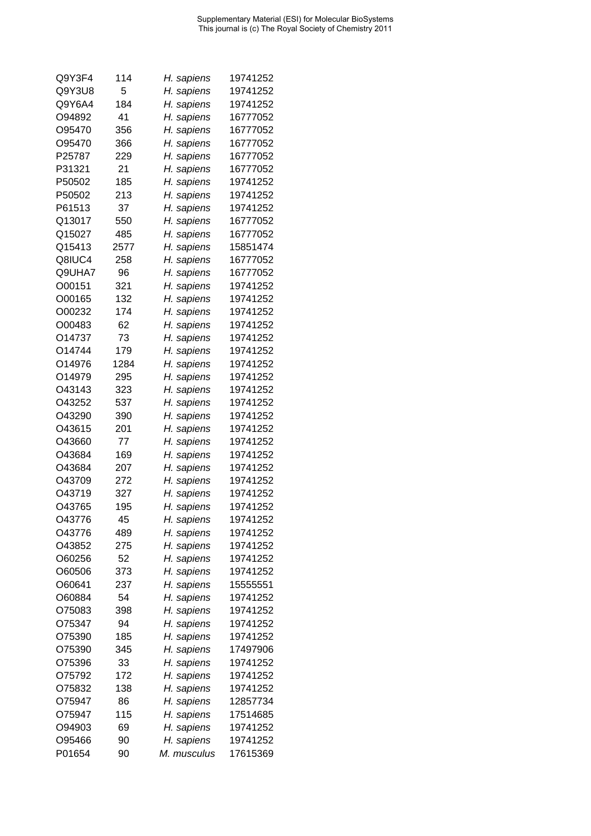| Q9Y3F4 | 114  | H. sapiens  | 19741252 |
|--------|------|-------------|----------|
| Q9Y3U8 | 5    | H. sapiens  | 19741252 |
| Q9Y6A4 | 184  | H. sapiens  | 19741252 |
| O94892 | 41   | H. sapiens  | 16777052 |
| O95470 | 356  | H. sapiens  | 16777052 |
| O95470 | 366  | H. sapiens  | 16777052 |
| P25787 | 229  | H. sapiens  | 16777052 |
| P31321 | 21   | H. sapiens  | 16777052 |
| P50502 | 185  | H. sapiens  | 19741252 |
| P50502 | 213  | H. sapiens  | 19741252 |
| P61513 | 37   | H. sapiens  | 19741252 |
| Q13017 | 550  | H. sapiens  | 16777052 |
| Q15027 | 485  | H. sapiens  | 16777052 |
| Q15413 | 2577 | H. sapiens  | 15851474 |
| Q8IUC4 | 258  | H. sapiens  | 16777052 |
| Q9UHA7 | 96   | H. sapiens  | 16777052 |
| O00151 | 321  | H. sapiens  | 19741252 |
| O00165 | 132  | H. sapiens  | 19741252 |
| O00232 | 174  |             | 19741252 |
| O00483 | 62   | H. sapiens  | 19741252 |
|        | 73   | H. sapiens  |          |
| O14737 |      | H. sapiens  | 19741252 |
| O14744 | 179  | H. sapiens  | 19741252 |
| O14976 | 1284 | H. sapiens  | 19741252 |
| O14979 | 295  | H. sapiens  | 19741252 |
| O43143 | 323  | H. sapiens  | 19741252 |
| O43252 | 537  | H. sapiens  | 19741252 |
| O43290 | 390  | H. sapiens  | 19741252 |
| O43615 | 201  | H. sapiens  | 19741252 |
| O43660 | 77   | H. sapiens  | 19741252 |
| O43684 | 169  | H. sapiens  | 19741252 |
| O43684 | 207  | H. sapiens  | 19741252 |
| O43709 | 272  | H. sapiens  | 19741252 |
| O43719 | 327  | H. sapiens  | 19741252 |
| O43765 | 195  | H. sapiens  | 19741252 |
| O43776 | 45   | H. sapiens  | 19741252 |
| O43776 | 489  | H. sapiens  | 19741252 |
| O43852 | 275  | H. sapiens  | 19741252 |
| O60256 | 52   | H. sapiens  | 19741252 |
| O60506 | 373  | H. sapiens  | 19741252 |
| O60641 | 237  | H. sapiens  | 15555551 |
| O60884 | 54   | H. sapiens  | 19741252 |
| O75083 | 398  | H. sapiens  | 19741252 |
| O75347 | 94   | H. sapiens  | 19741252 |
| O75390 | 185  | H. sapiens  | 19741252 |
| O75390 | 345  | H. sapiens  | 17497906 |
| O75396 | 33   | H. sapiens  | 19741252 |
| O75792 | 172  | H. sapiens  | 19741252 |
| O75832 | 138  | H. sapiens  | 19741252 |
| O75947 | 86   | H. sapiens  | 12857734 |
| O75947 | 115  | H. sapiens  | 17514685 |
| O94903 | 69   | H. sapiens  | 19741252 |
| O95466 | 90   | H. sapiens  | 19741252 |
| P01654 | 90   | M. musculus | 17615369 |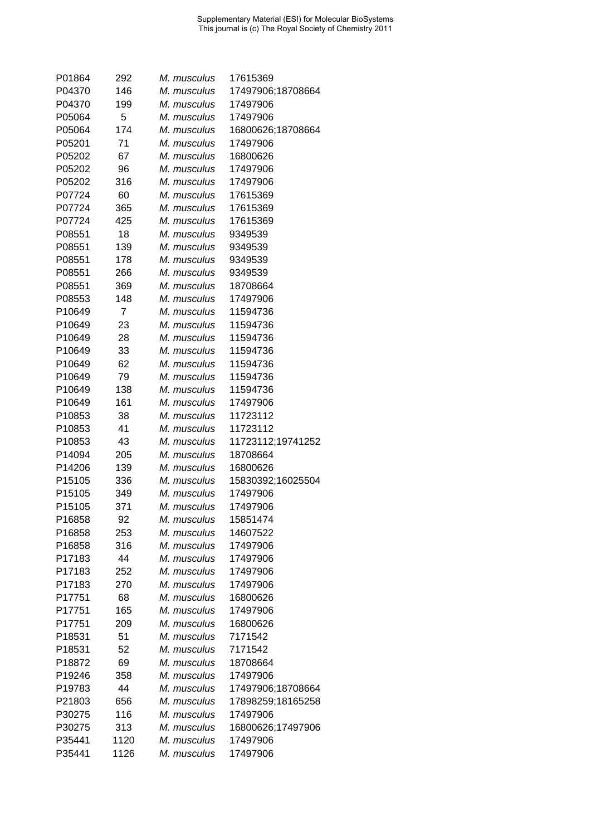| P01864           | 292        | M. musculus                | 17615369             |
|------------------|------------|----------------------------|----------------------|
| P04370           | 146        | M. musculus                | 17497906;18708664    |
| P04370           | 199        | M. musculus                | 17497906             |
| P05064           | 5          | M. musculus                | 17497906             |
| P05064           | 174        | M. musculus                | 16800626;18708664    |
| P05201           | 71         | M. musculus                | 17497906             |
| P05202           | 67         | M. musculus                | 16800626             |
| P05202           | 96         | M. musculus                | 17497906             |
| P05202           | 316        | M. musculus                | 17497906             |
| P07724           | 60         | M. musculus                | 17615369             |
| P07724           | 365        | M. musculus                | 17615369             |
| P07724           | 425        | M. musculus                | 17615369             |
| P08551           | 18         | M. musculus                | 9349539              |
| P08551           | 139        | M. musculus                | 9349539              |
| P08551           | 178        | M. musculus                | 9349539              |
| P08551           | 266        | M. musculus                | 9349539              |
| P08551           | 369        | M. musculus                | 18708664             |
| P08553           | 148        | M. musculus                | 17497906             |
| P10649           | 7          | M. musculus                | 11594736             |
| P10649           | 23         | M. musculus                | 11594736             |
| P10649           | 28         | M. musculus                | 11594736             |
| P10649           | 33         | M. musculus                | 11594736             |
| P10649           | 62         | M. musculus                | 11594736             |
| P10649           | 79         | M. musculus                | 11594736             |
|                  |            |                            |                      |
| P10649           | 138<br>161 | M. musculus<br>M. musculus | 11594736<br>17497906 |
| P10649           |            |                            | 11723112             |
| P10853<br>P10853 | 38<br>41   | M. musculus<br>M. musculus | 11723112             |
| P10853           | 43         | M. musculus                | 11723112;19741252    |
| P14094           | 205        | M. musculus                | 18708664             |
| P14206           | 139        | M. musculus                | 16800626             |
|                  |            | M. musculus                |                      |
| P15105           | 336        | M. musculus                | 15830392;16025504    |
| P15105<br>P15105 | 349        | M. musculus                | 17497906             |
|                  | 371        |                            | 17497906             |
| P16858           | 92         | M. musculus                | 15851474             |
| P16858           | 253        | M. musculus                | 14607522             |
| P16858           | 316        | M. musculus                | 17497906             |
| P17183           | 44         | M. musculus                | 17497906             |
| P17183           | 252        | M. musculus                | 17497906             |
| P17183           | 270        | M. musculus                | 17497906             |
| P17751           | 68         | M. musculus                | 16800626             |
| P17751           | 165        | M. musculus                | 17497906             |
| P17751           | 209        | M. musculus                | 16800626             |
| P18531           | 51         | M. musculus                | 7171542              |
| P18531           | 52         | M. musculus                | 7171542              |
| P18872           | 69         | M. musculus                | 18708664             |
| P19246           | 358        | M. musculus                | 17497906             |
| P19783           | 44         | M. musculus                | 17497906;18708664    |
| P21803           | 656        | M. musculus                | 17898259;18165258    |
| P30275           | 116        | M. musculus                | 17497906             |
| P30275           | 313        | M. musculus                | 16800626;17497906    |
| P35441           | 1120       | M. musculus                | 17497906             |
| P35441           | 1126       | M. musculus                | 17497906             |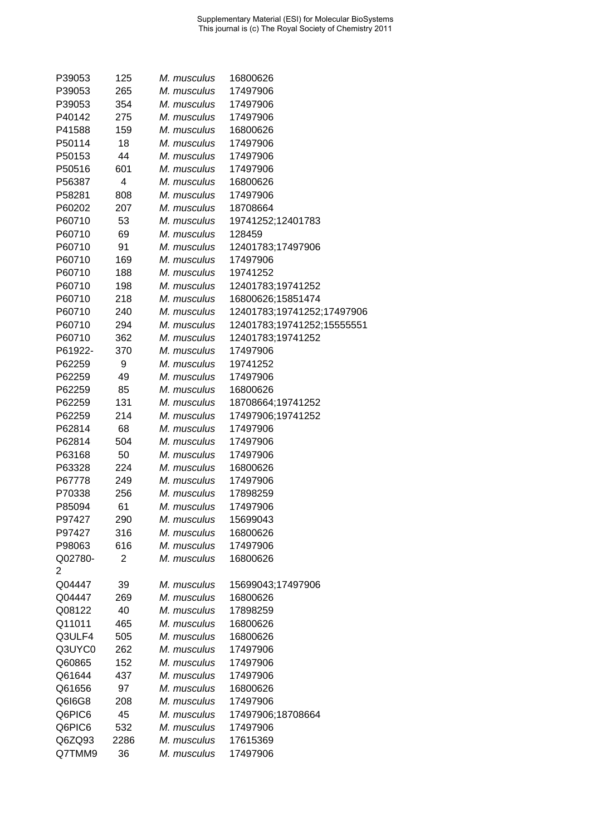| P39053           | 125       | M. musculus                | 16800626                      |
|------------------|-----------|----------------------------|-------------------------------|
| P39053           | 265       | M. musculus                | 17497906                      |
| P39053           | 354       | M. musculus                | 17497906                      |
| P40142           | 275       | M. musculus                | 17497906                      |
| P41588           | 159       | M. musculus                | 16800626                      |
| P50114           | 18        | M. musculus                | 17497906                      |
| P50153           | 44        | M. musculus                | 17497906                      |
| P50516           | 601       | M. musculus                | 17497906                      |
| P56387           | 4         | M. musculus                | 16800626                      |
| P58281           | 808       | M. musculus                | 17497906                      |
| P60202           | 207       | M. musculus                | 18708664                      |
| P60710           | 53        | M. musculus                | 19741252;12401783             |
| P60710           | 69        | M. musculus                | 128459                        |
| P60710           | 91        | M. musculus                | 12401783;17497906             |
| P60710           | 169       | M. musculus                | 17497906                      |
| P60710           | 188       | M. musculus                | 19741252                      |
| P60710           | 198       | M. musculus                | 12401783;19741252             |
| P60710           | 218       | M. musculus                | 16800626;15851474             |
| P60710           | 240       | M. musculus                | 12401783;19741252;17497906    |
| P60710           | 294       | M. musculus                | 12401783;19741252;15555551    |
| P60710           | 362       | M. musculus                | 12401783;19741252             |
| P61922-          | 370       | M. musculus                | 17497906                      |
| P62259           | 9         | M. musculus                | 19741252                      |
| P62259           | 49        | M. musculus                |                               |
|                  |           |                            | 17497906                      |
| P62259           | 85<br>131 | M. musculus<br>M. musculus | 16800626                      |
| P62259           | 214       |                            | 18708664;19741252             |
| P62259<br>P62814 | 68        | M. musculus<br>M. musculus | 17497906;19741252<br>17497906 |
| P62814           | 504       | M. musculus                | 17497906                      |
| P63168           | 50        | M. musculus                | 17497906                      |
| P63328           | 224       | M. musculus                | 16800626                      |
| P67778           | 249       | M. musculus                | 17497906                      |
|                  | 256       | M. musculus                | 17898259                      |
| P70338<br>P85094 | 61        |                            |                               |
|                  |           | M. musculus                | 17497906                      |
| P97427           | 290       | M. musculus                | 15699043                      |
| P97427           | 316       | M. musculus                | 16800626                      |
| P98063           | 616       | M. musculus                | 17497906                      |
| Q02780-          | 2         | M. musculus                | 16800626                      |
| 2                |           |                            |                               |
| Q04447           | 39        | M. musculus                | 15699043;17497906             |
| Q04447           | 269       | M. musculus                | 16800626                      |
| Q08122           | 40        | M. musculus                | 17898259                      |
| Q11011           | 465       | M. musculus                | 16800626                      |
| Q3ULF4           | 505       | M. musculus                | 16800626                      |
| Q3UYC0           | 262       | M. musculus                | 17497906                      |
| Q60865           | 152       | M. musculus                | 17497906                      |
| Q61644           | 437       | M. musculus                | 17497906                      |
| Q61656           | 97        | M. musculus                | 16800626                      |
| Q6I6G8           | 208       | M. musculus                | 17497906                      |
| Q6PIC6           | 45        | M. musculus                | 17497906;18708664             |
| Q6PIC6           | 532       | M. musculus                | 17497906                      |
| Q6ZQ93           | 2286      | M. musculus                | 17615369                      |
| Q7TMM9           | 36        | M. musculus                | 17497906                      |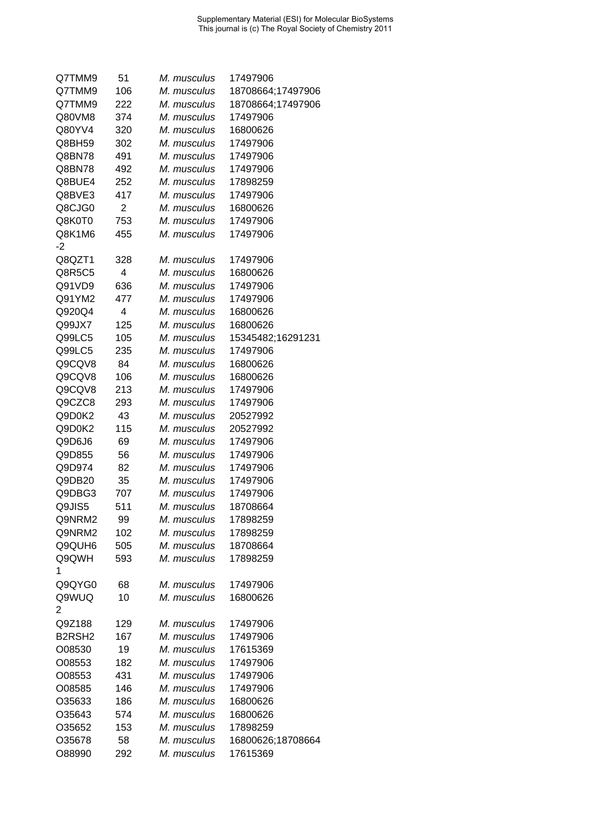| Q7TMM9                          | 51             | M. musculus | 17497906          |
|---------------------------------|----------------|-------------|-------------------|
| Q7TMM9                          | 106            | M. musculus | 18708664;17497906 |
| Q7TMM9                          | 222            | M. musculus | 18708664;17497906 |
| Q80VM8                          | 374            | M. musculus | 17497906          |
| Q80YV4                          | 320            | M. musculus | 16800626          |
| Q8BH59                          | 302            | M. musculus | 17497906          |
| Q8BN78                          | 491            | M. musculus | 17497906          |
| Q8BN78                          | 492            | M. musculus | 17497906          |
| Q8BUE4                          | 252            | M. musculus | 17898259          |
| Q8BVE3                          | 417            | M. musculus | 17497906          |
| Q8CJG0                          | $\overline{2}$ | M. musculus | 16800626          |
| Q8K0T0                          | 753            | M. musculus | 17497906          |
| Q8K1M6                          | 455            | M. musculus | 17497906          |
| -2                              |                |             |                   |
| Q8QZT1                          |                |             |                   |
|                                 | 328            | M. musculus | 17497906          |
| Q8R5C5                          | 4              | M. musculus | 16800626          |
| Q91VD9                          | 636            | M. musculus | 17497906          |
| Q91YM2                          | 477            | M. musculus | 17497906          |
| Q920Q4                          | 4              | M. musculus | 16800626          |
| Q99JX7                          | 125            | M. musculus | 16800626          |
| Q99LC5                          | 105            | M. musculus | 15345482;16291231 |
| Q99LC5                          | 235            | M. musculus | 17497906          |
| Q9CQV8                          | 84             | M. musculus | 16800626          |
| Q9CQV8                          | 106            | M. musculus | 16800626          |
| Q9CQV8                          | 213            | M. musculus | 17497906          |
| Q9CZC8                          | 293            | M. musculus | 17497906          |
| Q9D0K2                          | 43             | M. musculus | 20527992          |
| Q9D0K2                          | 115            | M. musculus | 20527992          |
| Q9D6J6                          | 69             | M. musculus | 17497906          |
| Q9D855                          | 56             | M. musculus | 17497906          |
| Q9D974                          | 82             | M. musculus | 17497906          |
| Q9DB20                          | 35             | M. musculus | 17497906          |
| Q9DBG3                          | 707            | M. musculus | 17497906          |
| Q9JIS5                          | 511            | M. musculus | 18708664          |
| Q9NRM2                          | 99             | M. musculus | 17898259          |
| Q9NRM2                          | 102            | M. musculus | 17898259          |
| Q9QUH6                          | 505            | M. musculus | 18708664          |
| Q9QWH                           | 593            | M. musculus | 17898259          |
| 1                               |                |             |                   |
| Q9QYG0                          | 68             | M. musculus | 17497906          |
| Q9WUQ                           | 10             | M. musculus | 16800626          |
| 2                               |                |             |                   |
| Q9Z188                          | 129            | M. musculus | 17497906          |
| B <sub>2</sub> RSH <sub>2</sub> | 167            | M. musculus | 17497906          |
| O08530                          | 19             | M. musculus | 17615369          |
| O08553                          | 182            | M. musculus | 17497906          |
| O08553                          |                | M. musculus |                   |
|                                 | 431            |             | 17497906          |
| O08585                          | 146            | M. musculus | 17497906          |
| O35633                          | 186            | M. musculus | 16800626          |
| O35643                          | 574            | M. musculus | 16800626          |
| O35652                          | 153            | M. musculus | 17898259          |
| O35678                          | 58             | M. musculus | 16800626;18708664 |
| O88990                          | 292            | M. musculus | 17615369          |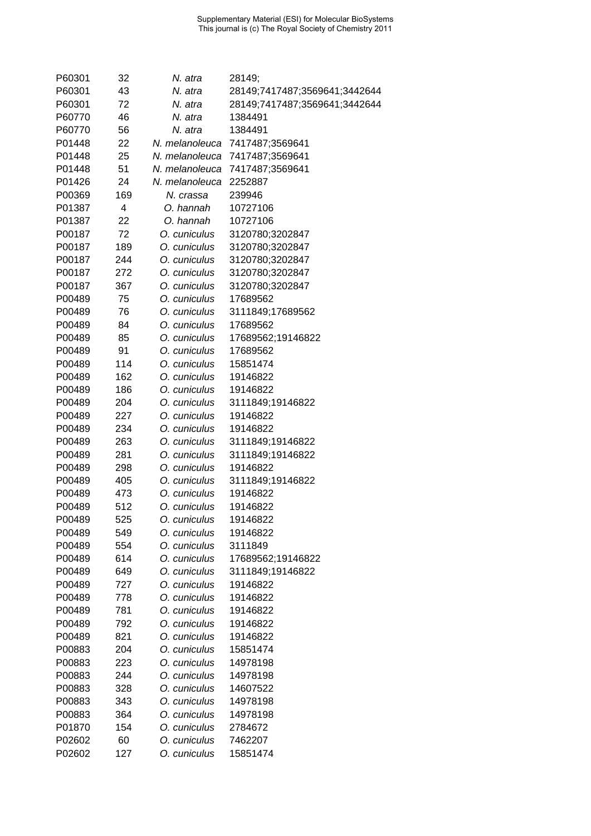| P60301 | 32  | N. atra        | 28149;                        |
|--------|-----|----------------|-------------------------------|
| P60301 | 43  | N. atra        | 28149;7417487;3569641;3442644 |
| P60301 | 72  | N. atra        | 28149;7417487;3569641;3442644 |
| P60770 | 46  | N. atra        | 1384491                       |
| P60770 | 56  | N. atra        | 1384491                       |
| P01448 | 22  | N. melanoleuca | 7417487;3569641               |
| P01448 | 25  | N. melanoleuca | 7417487;3569641               |
| P01448 | 51  | N. melanoleuca | 7417487;3569641               |
| P01426 | 24  | N. melanoleuca | 2252887                       |
| P00369 | 169 | N. crassa      | 239946                        |
| P01387 | 4   | O. hannah      | 10727106                      |
| P01387 | 22  | O. hannah      | 10727106                      |
| P00187 | 72  | O. cuniculus   | 3120780;3202847               |
| P00187 | 189 | O. cuniculus   | 3120780;3202847               |
| P00187 | 244 | O. cuniculus   | 3120780;3202847               |
| P00187 | 272 | O. cuniculus   | 3120780;3202847               |
| P00187 | 367 | O. cuniculus   | 3120780;3202847               |
| P00489 | 75  | O. cuniculus   | 17689562                      |
| P00489 | 76  | O. cuniculus   | 3111849;17689562              |
| P00489 | 84  | O. cuniculus   | 17689562                      |
| P00489 | 85  | O. cuniculus   | 17689562;19146822             |
| P00489 | 91  | O. cuniculus   | 17689562                      |
| P00489 | 114 | O. cuniculus   | 15851474                      |
| P00489 | 162 | O. cuniculus   | 19146822                      |
| P00489 | 186 | O. cuniculus   | 19146822                      |
| P00489 | 204 | O. cuniculus   | 3111849;19146822              |
| P00489 | 227 | O. cuniculus   | 19146822                      |
| P00489 | 234 | O. cuniculus   | 19146822                      |
| P00489 | 263 | O. cuniculus   | 3111849;19146822              |
| P00489 | 281 | O. cuniculus   | 3111849;19146822              |
| P00489 | 298 | O. cuniculus   | 19146822                      |
| P00489 | 405 | O. cuniculus   | 3111849;19146822              |
| P00489 | 473 | O. cuniculus   | 19146822                      |
| P00489 | 512 | O. cuniculus   | 19146822                      |
| P00489 | 525 | O. cuniculus   | 19146822                      |
| P00489 | 549 | O. cuniculus   | 19146822                      |
| P00489 | 554 | O. cuniculus   | 3111849                       |
| P00489 | 614 | O. cuniculus   | 17689562;19146822             |
| P00489 | 649 | O. cuniculus   | 3111849;19146822              |
| P00489 | 727 | O. cuniculus   | 19146822                      |
| P00489 | 778 | O. cuniculus   | 19146822                      |
| P00489 | 781 | O. cuniculus   | 19146822                      |
| P00489 | 792 | O. cuniculus   | 19146822                      |
| P00489 | 821 | O. cuniculus   | 19146822                      |
| P00883 | 204 | O. cuniculus   | 15851474                      |
| P00883 | 223 | O. cuniculus   | 14978198                      |
| P00883 | 244 | O. cuniculus   | 14978198                      |
| P00883 | 328 | O. cuniculus   | 14607522                      |
| P00883 | 343 | O. cuniculus   | 14978198                      |
| P00883 | 364 | O. cuniculus   | 14978198                      |
| P01870 | 154 | O. cuniculus   | 2784672                       |
| P02602 | 60  | O. cuniculus   | 7462207                       |
| P02602 | 127 | O. cuniculus   | 15851474                      |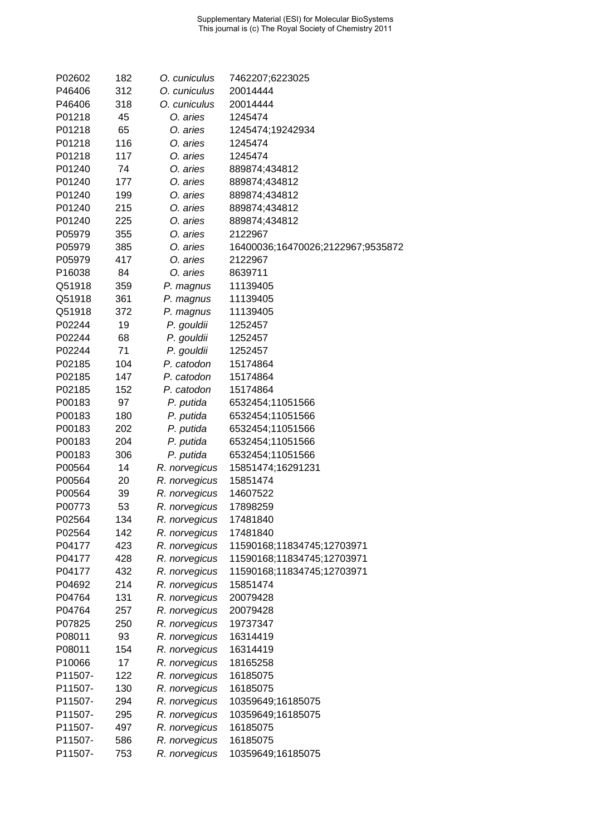| P02602  | 182 | O. cuniculus  | 7462207;6223025                   |
|---------|-----|---------------|-----------------------------------|
| P46406  | 312 | O. cuniculus  | 20014444                          |
| P46406  | 318 | O. cuniculus  | 20014444                          |
| P01218  | 45  | O. aries      | 1245474                           |
| P01218  | 65  | O. aries      | 1245474;19242934                  |
| P01218  | 116 | O. aries      | 1245474                           |
| P01218  | 117 | O. aries      | 1245474                           |
| P01240  | 74  | O. aries      | 889874;434812                     |
| P01240  | 177 | O. aries      | 889874;434812                     |
| P01240  | 199 | O. aries      | 889874;434812                     |
| P01240  | 215 | O. aries      | 889874;434812                     |
| P01240  | 225 | O. aries      | 889874;434812                     |
| P05979  | 355 | O. aries      | 2122967                           |
| P05979  | 385 | O. aries      | 16400036;16470026;2122967;9535872 |
| P05979  | 417 | O. aries      | 2122967                           |
| P16038  | 84  | O. aries      | 8639711                           |
| Q51918  |     |               |                                   |
|         | 359 | P. magnus     | 11139405                          |
| Q51918  | 361 | P. magnus     | 11139405                          |
| Q51918  | 372 | P. magnus     | 11139405                          |
| P02244  | 19  | P. gouldii    | 1252457                           |
| P02244  | 68  | P. gouldii    | 1252457                           |
| P02244  | 71  | P. gouldii    | 1252457                           |
| P02185  | 104 | P. catodon    | 15174864                          |
| P02185  | 147 | P. catodon    | 15174864                          |
| P02185  | 152 | P. catodon    | 15174864                          |
| P00183  | 97  | P. putida     | 6532454;11051566                  |
| P00183  | 180 | P. putida     | 6532454;11051566                  |
| P00183  | 202 | P. putida     | 6532454;11051566                  |
| P00183  | 204 | P. putida     | 6532454;11051566                  |
| P00183  | 306 | P. putida     | 6532454;11051566                  |
| P00564  | 14  | R. norvegicus | 15851474;16291231                 |
| P00564  | 20  | R. norvegicus | 15851474                          |
| P00564  | 39  | R. norvegicus | 14607522                          |
| P00773  | 53  | R. norvegicus | 17898259                          |
| P02564  | 134 | R. norvegicus | 17481840                          |
| P02564  | 142 | R. norvegicus | 17481840                          |
| P04177  | 423 | R. norvegicus | 11590168;11834745;12703971        |
| P04177  | 428 | R. norvegicus | 11590168;11834745;12703971        |
| P04177  | 432 | R. norvegicus | 11590168;11834745;12703971        |
| P04692  | 214 | R. norvegicus | 15851474                          |
| P04764  | 131 | R. norvegicus | 20079428                          |
| P04764  | 257 | R. norvegicus | 20079428                          |
| P07825  | 250 | R. norvegicus | 19737347                          |
| P08011  | 93  | R. norvegicus | 16314419                          |
| P08011  | 154 | R. norvegicus | 16314419                          |
| P10066  | 17  | R. norvegicus | 18165258                          |
| P11507- | 122 | R. norvegicus | 16185075                          |
| P11507- | 130 | R. norvegicus | 16185075                          |
| P11507- | 294 | R. norvegicus | 10359649;16185075                 |
| P11507- | 295 | R. norvegicus | 10359649;16185075                 |
| P11507- | 497 | R. norvegicus | 16185075                          |
| P11507- | 586 | R. norvegicus | 16185075                          |
| P11507- | 753 | R. norvegicus | 10359649;16185075                 |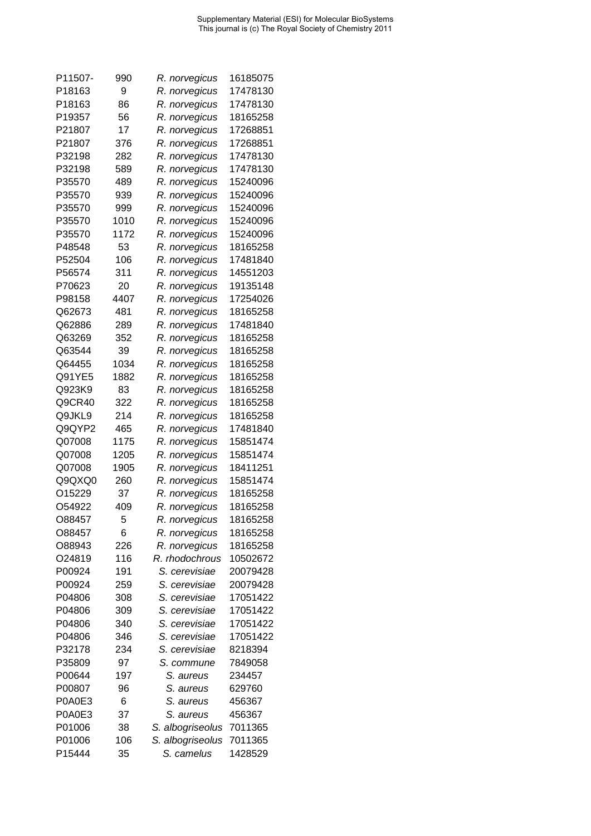| P11507- | 990  | R. norvegicus    | 16185075 |
|---------|------|------------------|----------|
| P18163  | 9    | R. norvegicus    | 17478130 |
| P18163  | 86   | R. norvegicus    | 17478130 |
| P19357  | 56   | R. norvegicus    | 18165258 |
| P21807  | 17   | R. norvegicus    | 17268851 |
| P21807  | 376  | R. norvegicus    | 17268851 |
| P32198  | 282  | R. norvegicus    | 17478130 |
| P32198  | 589  | R. norvegicus    | 17478130 |
| P35570  | 489  | R. norvegicus    | 15240096 |
| P35570  | 939  | R. norvegicus    | 15240096 |
| P35570  | 999  | R. norvegicus    | 15240096 |
| P35570  | 1010 | R. norvegicus    | 15240096 |
| P35570  | 1172 | R. norvegicus    | 15240096 |
| P48548  | 53   |                  |          |
|         |      | R. norvegicus    | 18165258 |
| P52504  | 106  | R. norvegicus    | 17481840 |
| P56574  | 311  | R. norvegicus    | 14551203 |
| P70623  | 20   | R. norvegicus    | 19135148 |
| P98158  | 4407 | R. norvegicus    | 17254026 |
| Q62673  | 481  | R. norvegicus    | 18165258 |
| Q62886  | 289  | R. norvegicus    | 17481840 |
| Q63269  | 352  | R. norvegicus    | 18165258 |
| Q63544  | 39   | R. norvegicus    | 18165258 |
| Q64455  | 1034 | R. norvegicus    | 18165258 |
| Q91YE5  | 1882 | R. norvegicus    | 18165258 |
| Q923K9  | 83   | R. norvegicus    | 18165258 |
| Q9CR40  | 322  | R. norvegicus    | 18165258 |
| Q9JKL9  | 214  | R. norvegicus    | 18165258 |
| Q9QYP2  | 465  | R. norvegicus    | 17481840 |
| Q07008  | 1175 | R. norvegicus    | 15851474 |
| Q07008  | 1205 | R. norvegicus    | 15851474 |
| Q07008  | 1905 | R. norvegicus    | 18411251 |
| Q9QXQ0  | 260  | R. norvegicus    | 15851474 |
| O15229  | 37   | R. norvegicus    | 18165258 |
| O54922  | 409  | R. norvegicus    | 18165258 |
| O88457  | 5    | R. norvegicus    | 18165258 |
| O88457  | 6    | R. norvegicus    | 18165258 |
| O88943  | 226  | R. norvegicus    | 18165258 |
| O24819  | 116  | R. rhodochrous   | 10502672 |
| P00924  | 191  | S. cerevisiae    | 20079428 |
| P00924  | 259  | S. cerevisiae    | 20079428 |
| P04806  | 308  | S. cerevisiae    | 17051422 |
| P04806  | 309  | S. cerevisiae    | 17051422 |
| P04806  | 340  | S. cerevisiae    | 17051422 |
| P04806  | 346  | S. cerevisiae    | 17051422 |
| P32178  | 234  | S. cerevisiae    | 8218394  |
| P35809  | 97   |                  |          |
|         |      | S. commune       | 7849058  |
| P00644  | 197  | S. aureus        | 234457   |
| P00807  | 96   | S. aureus        | 629760   |
| P0A0E3  | 6    | S. aureus        | 456367   |
| P0A0E3  | 37   | S. aureus        | 456367   |
| P01006  | 38   | S. albogriseolus | 7011365  |
| P01006  | 106  | S. albogriseolus | 7011365  |
| P15444  | 35   | S. camelus       | 1428529  |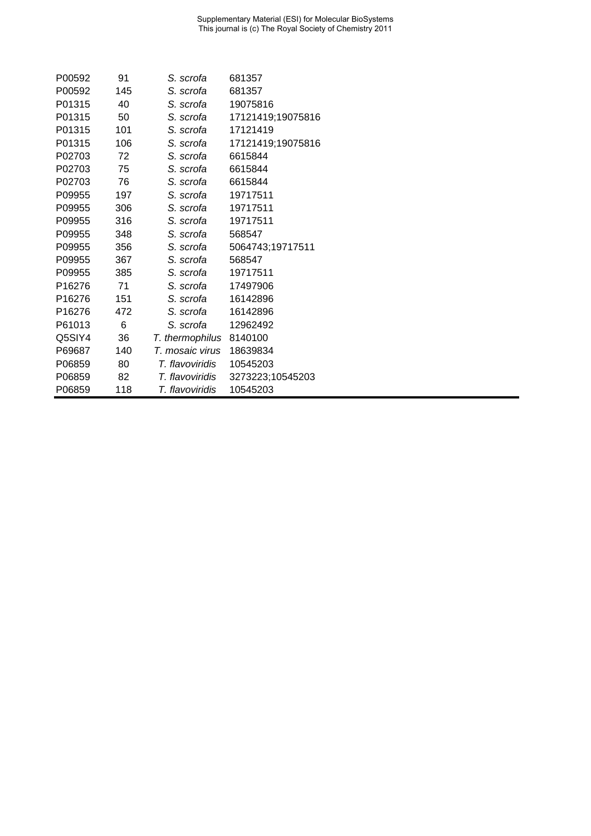| P00592 | 91  | S. scrofa       | 681357            |
|--------|-----|-----------------|-------------------|
| P00592 | 145 | S. scrofa       | 681357            |
| P01315 | 40  | S. scrofa       | 19075816          |
| P01315 | 50  | S. scrofa       | 17121419;19075816 |
| P01315 | 101 | S. scrofa       | 17121419          |
| P01315 | 106 | S. scrofa       | 17121419;19075816 |
| P02703 | 72  | S. scrofa       | 6615844           |
| P02703 | 75  | S. scrofa       | 6615844           |
| P02703 | 76  | S. scrofa       | 6615844           |
| P09955 | 197 | S. scrofa       | 19717511          |
| P09955 | 306 | S. scrofa       | 19717511          |
| P09955 | 316 | S. scrofa       | 19717511          |
| P09955 | 348 | S. scrofa       | 568547            |
| P09955 | 356 | S. scrofa       | 5064743;19717511  |
| P09955 | 367 | S. scrofa       | 568547            |
| P09955 | 385 | S. scrofa       | 19717511          |
| P16276 | 71  | S. scrofa       | 17497906          |
| P16276 | 151 | S. scrofa       | 16142896          |
| P16276 | 472 | S. scrofa       | 16142896          |
| P61013 | 6   | S. scrofa       | 12962492          |
| Q5SIY4 | 36  | T. thermophilus | 8140100           |
| P69687 | 140 | T. mosaic virus | 18639834          |
| P06859 | 80  | T. flavoviridis | 10545203          |
| P06859 | 82  | T. flavoviridis | 3273223;10545203  |
| P06859 | 118 | T. flavoviridis | 10545203          |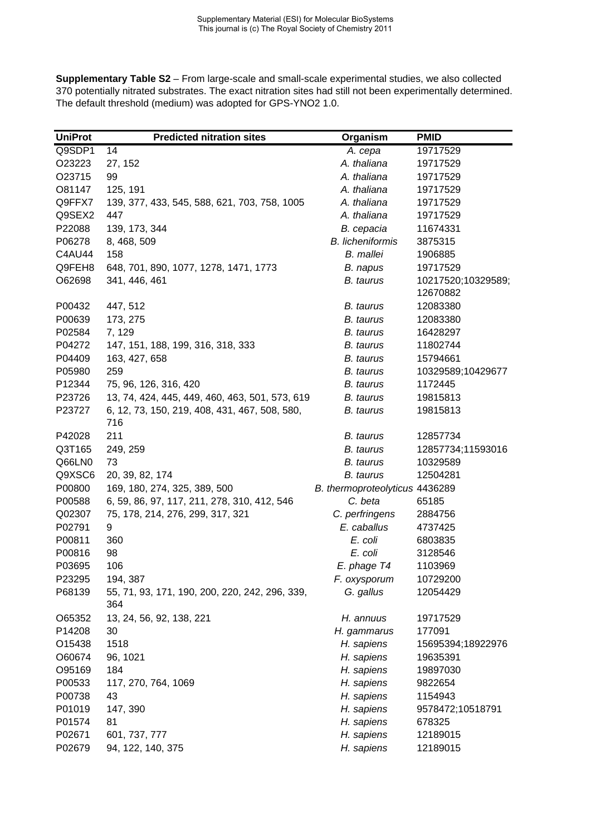**Supplementary Table S2** – From large-scale and small-scale experimental studies, we also collected 370 potentially nitrated substrates. The exact nitration sites had still not been experimentally determined. The default threshold (medium) was adopted for GPS-YNO2 1.0.

| <b>UniProt</b> | <b>Predicted nitration sites</b>                      | Organism                       | <b>PMID</b>                    |
|----------------|-------------------------------------------------------|--------------------------------|--------------------------------|
| Q9SDP1         | 14                                                    | A. cepa                        | 19717529                       |
| O23223         | 27, 152                                               | A. thaliana                    | 19717529                       |
| O23715         | 99                                                    | A. thaliana                    | 19717529                       |
| O81147         | 125, 191                                              | A. thaliana                    | 19717529                       |
| Q9FFX7         | 139, 377, 433, 545, 588, 621, 703, 758, 1005          | A. thaliana                    | 19717529                       |
| Q9SEX2         | 447                                                   | A. thaliana                    | 19717529                       |
| P22088         | 139, 173, 344                                         | B. cepacia                     | 11674331                       |
| P06278         | 8, 468, 509                                           | <b>B.</b> licheniformis        | 3875315                        |
| C4AU44         | 158                                                   | <b>B.</b> mallei               | 1906885                        |
| Q9FEH8         | 648, 701, 890, 1077, 1278, 1471, 1773                 | B. napus                       | 19717529                       |
| O62698         | 341, 446, 461                                         | B. taurus                      | 10217520;10329589;<br>12670882 |
| P00432         | 447, 512                                              | B. taurus                      | 12083380                       |
| P00639         | 173, 275                                              | <b>B.</b> taurus               | 12083380                       |
| P02584         | 7, 129                                                | B. taurus                      | 16428297                       |
| P04272         | 147, 151, 188, 199, 316, 318, 333                     | B. taurus                      | 11802744                       |
| P04409         | 163, 427, 658                                         | B. taurus                      | 15794661                       |
| P05980         | 259                                                   | B. taurus                      | 10329589;10429677              |
| P12344         | 75, 96, 126, 316, 420                                 | <b>B.</b> taurus               | 1172445                        |
| P23726         | 13, 74, 424, 445, 449, 460, 463, 501, 573, 619        | B. taurus                      | 19815813                       |
| P23727         | 6, 12, 73, 150, 219, 408, 431, 467, 508, 580,         | <b>B.</b> taurus               | 19815813                       |
|                | 716                                                   |                                |                                |
| P42028         | 211                                                   | B. taurus                      | 12857734                       |
| Q3T165         | 249, 259                                              | B. taurus                      | 12857734;11593016              |
| Q66LN0         | 73                                                    | <b>B.</b> taurus               | 10329589                       |
| Q9XSC6         | 20, 39, 82, 174                                       | <b>B.</b> taurus               | 12504281                       |
| P00800         | 169, 180, 274, 325, 389, 500                          | B. thermoproteolyticus 4436289 |                                |
| P00588         | 6, 59, 86, 97, 117, 211, 278, 310, 412, 546           | C. beta                        | 65185                          |
| Q02307         | 75, 178, 214, 276, 299, 317, 321                      | C. perfringens                 | 2884756                        |
| P02791         | 9                                                     | E. caballus                    | 4737425                        |
| P00811         | 360                                                   | E. coli                        | 6803835                        |
| P00816         | 98                                                    | E. coli                        | 3128546                        |
| P03695         | 106                                                   | E. phage T4                    | 1103969                        |
| P23295         | 194, 387                                              | F. oxysporum                   | 10729200                       |
| P68139         | 55, 71, 93, 171, 190, 200, 220, 242, 296, 339,<br>364 | G. gallus                      | 12054429                       |
| O65352         | 13, 24, 56, 92, 138, 221                              | H. annuus                      | 19717529                       |
| P14208         | 30                                                    | H. gammarus                    | 177091                         |
| O15438         | 1518                                                  | H. sapiens                     | 15695394;18922976              |
| O60674         | 96, 1021                                              | H. sapiens                     | 19635391                       |
| O95169         | 184                                                   | H. sapiens                     | 19897030                       |
| P00533         | 117, 270, 764, 1069                                   | H. sapiens                     | 9822654                        |
| P00738         | 43                                                    | H. sapiens                     | 1154943                        |
| P01019         | 147, 390                                              | H. sapiens                     | 9578472;10518791               |
| P01574         | 81                                                    | H. sapiens                     | 678325                         |
| P02671         | 601, 737, 777                                         | H. sapiens                     | 12189015                       |
| P02679         | 94, 122, 140, 375                                     | H. sapiens                     | 12189015                       |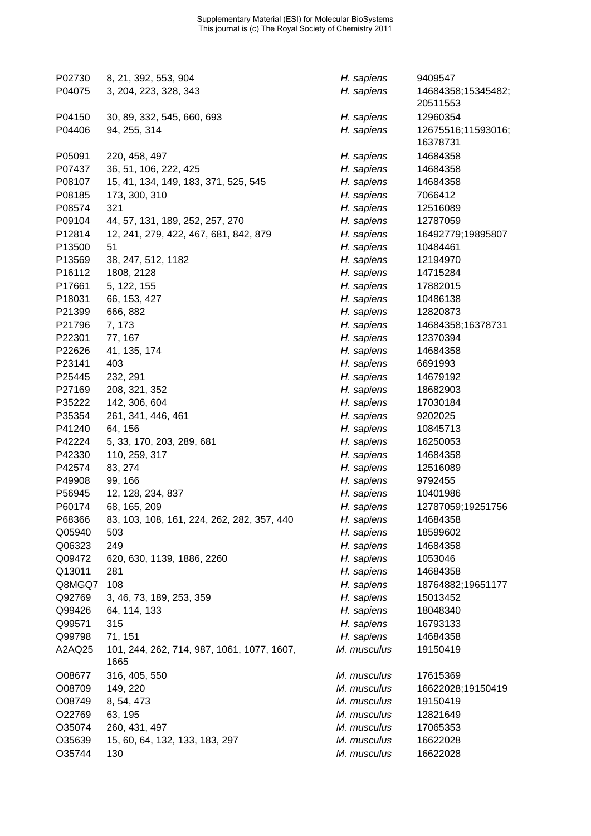| P02730 | 8, 21, 392, 553, 904                               | H. sapiens  | 9409547                        |
|--------|----------------------------------------------------|-------------|--------------------------------|
| P04075 | 3, 204, 223, 328, 343                              | H. sapiens  | 14684358;15345482;<br>20511553 |
| P04150 | 30, 89, 332, 545, 660, 693                         | H. sapiens  | 12960354                       |
| P04406 | 94, 255, 314                                       | H. sapiens  | 12675516;11593016;<br>16378731 |
| P05091 | 220, 458, 497                                      | H. sapiens  | 14684358                       |
| P07437 | 36, 51, 106, 222, 425                              | H. sapiens  | 14684358                       |
| P08107 | 15, 41, 134, 149, 183, 371, 525, 545               | H. sapiens  | 14684358                       |
| P08185 | 173, 300, 310                                      | H. sapiens  | 7066412                        |
| P08574 | 321                                                | H. sapiens  | 12516089                       |
| P09104 | 44, 57, 131, 189, 252, 257, 270                    | H. sapiens  | 12787059                       |
| P12814 | 12, 241, 279, 422, 467, 681, 842, 879              | H. sapiens  | 16492779;19895807              |
| P13500 | 51                                                 | H. sapiens  | 10484461                       |
| P13569 | 38, 247, 512, 1182                                 | H. sapiens  | 12194970                       |
| P16112 | 1808, 2128                                         | H. sapiens  | 14715284                       |
| P17661 | 5, 122, 155                                        | H. sapiens  | 17882015                       |
| P18031 | 66, 153, 427                                       | H. sapiens  | 10486138                       |
| P21399 | 666, 882                                           | H. sapiens  | 12820873                       |
| P21796 | 7, 173                                             | H. sapiens  | 14684358;16378731              |
| P22301 | 77, 167                                            | H. sapiens  | 12370394                       |
| P22626 | 41, 135, 174                                       | H. sapiens  | 14684358                       |
| P23141 | 403                                                | H. sapiens  | 6691993                        |
| P25445 | 232, 291                                           | H. sapiens  | 14679192                       |
| P27169 | 208, 321, 352                                      | H. sapiens  | 18682903                       |
| P35222 | 142, 306, 604                                      | H. sapiens  | 17030184                       |
| P35354 | 261, 341, 446, 461                                 | H. sapiens  | 9202025                        |
| P41240 | 64, 156                                            | H. sapiens  | 10845713                       |
| P42224 | 5, 33, 170, 203, 289, 681                          | H. sapiens  | 16250053                       |
| P42330 | 110, 259, 317                                      | H. sapiens  | 14684358                       |
| P42574 | 83, 274                                            | H. sapiens  | 12516089                       |
| P49908 | 99, 166                                            | H. sapiens  | 9792455                        |
| P56945 | 12, 128, 234, 837                                  | H. sapiens  | 10401986                       |
| P60174 | 68, 165, 209                                       | H. sapiens  | 12787059;19251756              |
| P68366 | 83, 103, 108, 161, 224, 262, 282, 357, 440         | H. sapiens  | 14684358                       |
| Q05940 | 503                                                | H. sapiens  | 18599602                       |
| Q06323 | 249                                                | H. sapiens  | 14684358                       |
| Q09472 | 620, 630, 1139, 1886, 2260                         | H. sapiens  | 1053046                        |
| Q13011 | 281                                                | H. sapiens  | 14684358                       |
| Q8MGQ7 | 108                                                | H. sapiens  | 18764882;19651177              |
| Q92769 | 3, 46, 73, 189, 253, 359                           | H. sapiens  | 15013452                       |
| Q99426 | 64, 114, 133                                       | H. sapiens  | 18048340                       |
| Q99571 | 315                                                | H. sapiens  | 16793133                       |
| Q99798 | 71, 151                                            | H. sapiens  | 14684358                       |
| A2AQ25 | 101, 244, 262, 714, 987, 1061, 1077, 1607,<br>1665 | M. musculus | 19150419                       |
| O08677 | 316, 405, 550                                      | M. musculus | 17615369                       |
| O08709 | 149, 220                                           | M. musculus | 16622028;19150419              |
| O08749 | 8, 54, 473                                         | M. musculus | 19150419                       |
| O22769 | 63, 195                                            | M. musculus | 12821649                       |
| O35074 | 260, 431, 497                                      | M. musculus | 17065353                       |
| O35639 | 15, 60, 64, 132, 133, 183, 297                     | M. musculus | 16622028                       |
| O35744 | 130                                                | M. musculus | 16622028                       |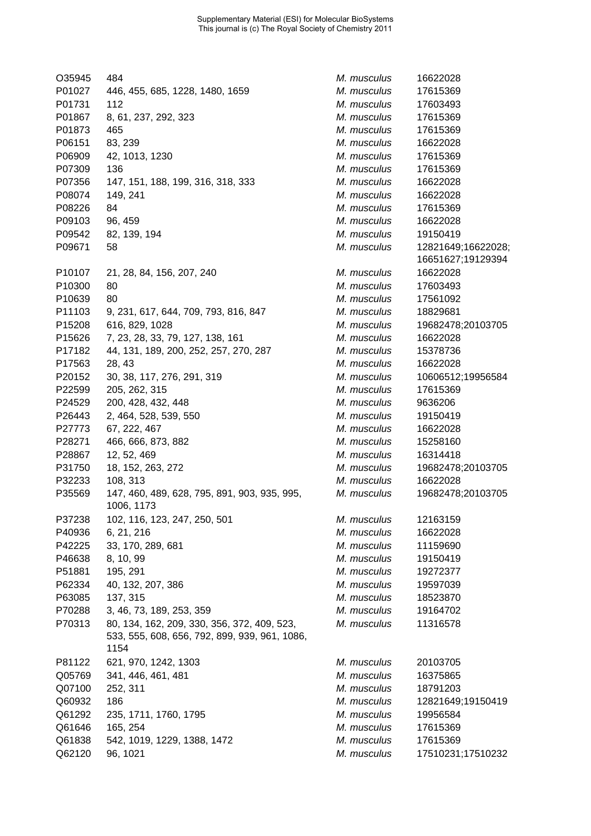| O35945 | 484                                                                                                  | M. musculus | 16622028           |
|--------|------------------------------------------------------------------------------------------------------|-------------|--------------------|
| P01027 | 446, 455, 685, 1228, 1480, 1659                                                                      | M. musculus | 17615369           |
| P01731 | 112                                                                                                  | M. musculus | 17603493           |
| P01867 | 8, 61, 237, 292, 323                                                                                 | M. musculus | 17615369           |
| P01873 | 465                                                                                                  | M. musculus | 17615369           |
| P06151 | 83, 239                                                                                              | M. musculus | 16622028           |
| P06909 | 42, 1013, 1230                                                                                       | M. musculus | 17615369           |
| P07309 | 136                                                                                                  | M. musculus | 17615369           |
| P07356 | 147, 151, 188, 199, 316, 318, 333                                                                    | M. musculus | 16622028           |
| P08074 | 149, 241                                                                                             | M. musculus | 16622028           |
| P08226 | 84                                                                                                   | M. musculus | 17615369           |
| P09103 | 96, 459                                                                                              | M. musculus | 16622028           |
| P09542 | 82, 139, 194                                                                                         | M. musculus | 19150419           |
| P09671 | 58                                                                                                   | M. musculus | 12821649;16622028; |
|        |                                                                                                      |             | 16651627;19129394  |
| P10107 | 21, 28, 84, 156, 207, 240                                                                            | M. musculus | 16622028           |
| P10300 | 80                                                                                                   | M. musculus | 17603493           |
| P10639 | 80                                                                                                   | M. musculus | 17561092           |
| P11103 | 9, 231, 617, 644, 709, 793, 816, 847                                                                 | M. musculus | 18829681           |
| P15208 | 616, 829, 1028                                                                                       | M. musculus | 19682478;20103705  |
| P15626 | 7, 23, 28, 33, 79, 127, 138, 161                                                                     | M. musculus | 16622028           |
| P17182 | 44, 131, 189, 200, 252, 257, 270, 287                                                                | M. musculus | 15378736           |
| P17563 | 28, 43                                                                                               | M. musculus | 16622028           |
| P20152 | 30, 38, 117, 276, 291, 319                                                                           | M. musculus | 10606512;19956584  |
| P22599 | 205, 262, 315                                                                                        | M. musculus | 17615369           |
| P24529 | 200, 428, 432, 448                                                                                   | M. musculus | 9636206            |
| P26443 | 2, 464, 528, 539, 550                                                                                | M. musculus | 19150419           |
| P27773 | 67, 222, 467                                                                                         | M. musculus | 16622028           |
| P28271 | 466, 666, 873, 882                                                                                   | M. musculus | 15258160           |
| P28867 | 12, 52, 469                                                                                          | M. musculus | 16314418           |
| P31750 | 18, 152, 263, 272                                                                                    | M. musculus | 19682478;20103705  |
| P32233 | 108, 313                                                                                             | M. musculus | 16622028           |
| P35569 | 147, 460, 489, 628, 795, 891, 903, 935, 995,                                                         | M. musculus | 19682478;20103705  |
|        | 1006, 1173                                                                                           |             |                    |
| P37238 | 102, 116, 123, 247, 250, 501                                                                         | M. musculus | 12163159           |
| P40936 | 6, 21, 216                                                                                           | M. musculus | 16622028           |
| P42225 | 33, 170, 289, 681                                                                                    | M. musculus | 11159690           |
| P46638 | 8, 10, 99                                                                                            | M. musculus | 19150419           |
| P51881 | 195, 291                                                                                             | M. musculus | 19272377           |
| P62334 | 40, 132, 207, 386                                                                                    | M. musculus | 19597039           |
| P63085 | 137, 315                                                                                             | M. musculus | 18523870           |
| P70288 | 3, 46, 73, 189, 253, 359                                                                             | M. musculus | 19164702           |
| P70313 | 80, 134, 162, 209, 330, 356, 372, 409, 523,<br>533, 555, 608, 656, 792, 899, 939, 961, 1086,<br>1154 | M. musculus | 11316578           |
| P81122 | 621, 970, 1242, 1303                                                                                 | M. musculus | 20103705           |
| Q05769 | 341, 446, 461, 481                                                                                   | M. musculus | 16375865           |
| Q07100 | 252, 311                                                                                             | M. musculus | 18791203           |
| Q60932 | 186                                                                                                  | M. musculus | 12821649;19150419  |
| Q61292 | 235, 1711, 1760, 1795                                                                                | M. musculus | 19956584           |
| Q61646 | 165, 254                                                                                             | M. musculus | 17615369           |
| Q61838 | 542, 1019, 1229, 1388, 1472                                                                          | M. musculus | 17615369           |
| Q62120 |                                                                                                      | M. musculus |                    |
|        | 96, 1021                                                                                             |             | 17510231;17510232  |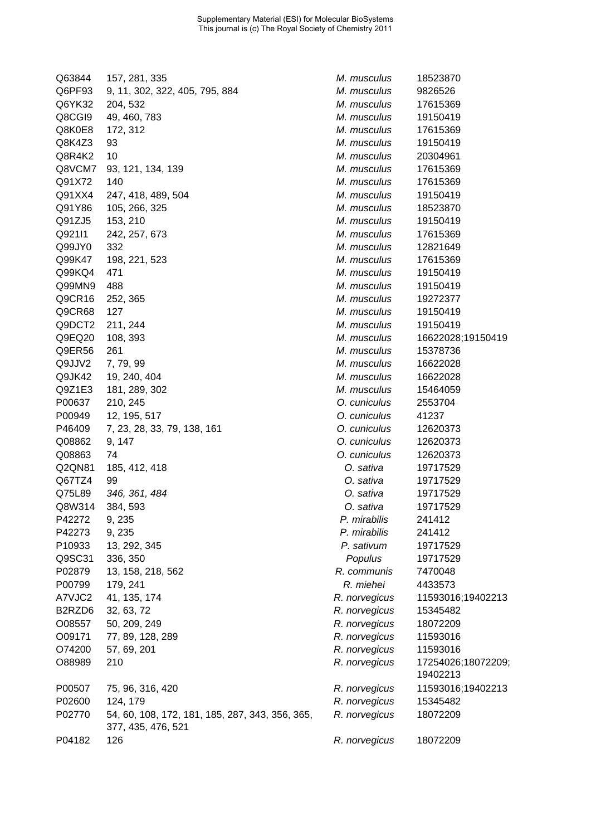| Q63844                          | 157, 281, 335                                                         | M. musculus   | 18523870           |
|---------------------------------|-----------------------------------------------------------------------|---------------|--------------------|
| Q6PF93                          | 9, 11, 302, 322, 405, 795, 884                                        | M. musculus   | 9826526            |
| Q6YK32                          | 204, 532                                                              | M. musculus   | 17615369           |
| Q8CGI9                          | 49, 460, 783                                                          | M. musculus   | 19150419           |
| Q8K0E8                          | 172, 312                                                              | M. musculus   | 17615369           |
| Q8K4Z3                          | 93                                                                    | M. musculus   | 19150419           |
| Q8R4K2                          | 10                                                                    | M. musculus   | 20304961           |
| Q8VCM7                          | 93, 121, 134, 139                                                     | M. musculus   | 17615369           |
| Q91X72                          | 140                                                                   | M. musculus   | 17615369           |
| Q91XX4                          | 247, 418, 489, 504                                                    | M. musculus   | 19150419           |
| Q91Y86                          | 105, 266, 325                                                         | M. musculus   | 18523870           |
| Q91ZJ5                          | 153, 210                                                              | M. musculus   | 19150419           |
| Q92111                          | 242, 257, 673                                                         | M. musculus   | 17615369           |
| Q99JY0                          | 332                                                                   | M. musculus   | 12821649           |
| Q99K47                          | 198, 221, 523                                                         | M. musculus   | 17615369           |
| Q99KQ4                          | 471                                                                   | M. musculus   | 19150419           |
| Q99MN9                          | 488                                                                   | M. musculus   | 19150419           |
| Q9CR16                          | 252, 365                                                              | M. musculus   | 19272377           |
| Q9CR68                          | 127                                                                   | M. musculus   | 19150419           |
| Q9DCT2                          | 211, 244                                                              | M. musculus   | 19150419           |
| Q9EQ20                          | 108, 393                                                              | M. musculus   | 16622028;19150419  |
| Q9ER56                          | 261                                                                   | M. musculus   | 15378736           |
| Q9JJV2                          |                                                                       | M. musculus   | 16622028           |
|                                 | 7, 79, 99                                                             | M. musculus   | 16622028           |
| Q9JK42                          | 19, 240, 404                                                          |               |                    |
| Q9Z1E3                          | 181, 289, 302                                                         | M. musculus   | 15464059           |
| P00637                          | 210, 245                                                              | O. cuniculus  | 2553704            |
| P00949                          | 12, 195, 517                                                          | O. cuniculus  | 41237              |
| P46409                          | 7, 23, 28, 33, 79, 138, 161                                           | O. cuniculus  | 12620373           |
| Q08862                          | 9, 147                                                                | O. cuniculus  | 12620373           |
| Q08863                          | 74                                                                    | O. cuniculus  | 12620373           |
| Q2QN81                          | 185, 412, 418                                                         | O. sativa     | 19717529           |
| Q67TZ4                          | 99                                                                    | O. sativa     | 19717529           |
| Q75L89                          | 346, 361, 484                                                         | O. sativa     | 19717529           |
| Q8W314                          | 384, 593                                                              | O. sativa     | 19717529           |
| P42272                          | 9, 235                                                                | P. mirabilis  | 241412             |
| P42273                          | 9, 235                                                                | P. mirabilis  | 241412             |
| P10933                          | 13, 292, 345                                                          | P. sativum    | 19717529           |
| Q9SC31                          | 336, 350                                                              | Populus       | 19717529           |
| P02879                          | 13, 158, 218, 562                                                     | R. communis   | 7470048            |
| P00799                          | 179, 241                                                              | R. miehei     | 4433573            |
| A7VJC2                          | 41, 135, 174                                                          | R. norvegicus | 11593016;19402213  |
| B <sub>2</sub> RZD <sub>6</sub> | 32, 63, 72                                                            | R. norvegicus | 15345482           |
| O08557                          | 50, 209, 249                                                          | R. norvegicus | 18072209           |
| O09171                          | 77, 89, 128, 289                                                      | R. norvegicus | 11593016           |
| O74200                          | 57, 69, 201                                                           | R. norvegicus | 11593016           |
| O88989                          | 210                                                                   | R. norvegicus | 17254026;18072209; |
|                                 |                                                                       |               | 19402213           |
| P00507                          | 75, 96, 316, 420                                                      | R. norvegicus | 11593016;19402213  |
| P02600                          | 124, 179                                                              | R. norvegicus | 15345482           |
| P02770                          | 54, 60, 108, 172, 181, 185, 287, 343, 356, 365,<br>377, 435, 476, 521 | R. norvegicus | 18072209           |
| P04182                          | 126                                                                   | R. norvegicus | 18072209           |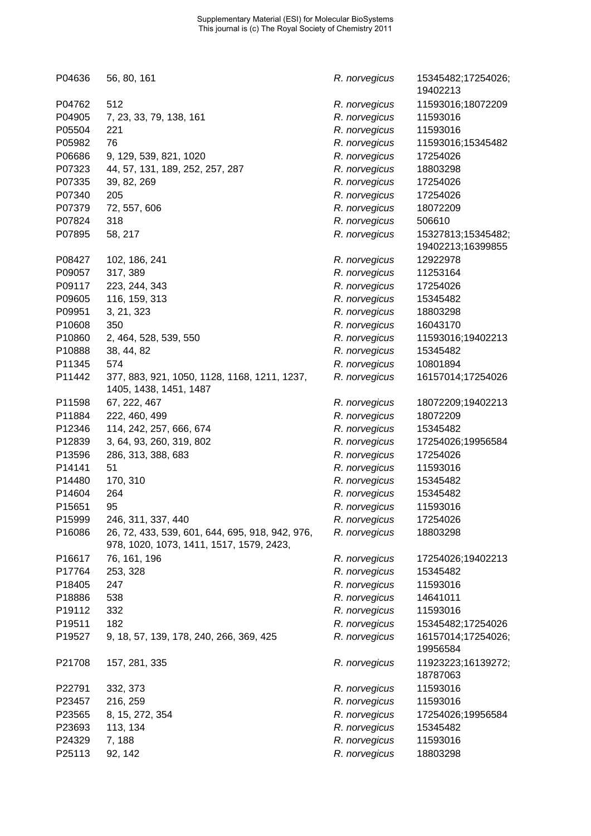| P04636 | 56, 80, 161                                                                                 | R. norvegicus | 15345482;17254026;<br>19402213 |
|--------|---------------------------------------------------------------------------------------------|---------------|--------------------------------|
| P04762 | 512                                                                                         | R. norvegicus | 11593016;18072209              |
| P04905 | 7, 23, 33, 79, 138, 161                                                                     | R. norvegicus | 11593016                       |
| P05504 | 221                                                                                         | R. norvegicus | 11593016                       |
| P05982 | 76                                                                                          | R. norvegicus | 11593016;15345482              |
| P06686 | 9, 129, 539, 821, 1020                                                                      | R. norvegicus | 17254026                       |
| P07323 | 44, 57, 131, 189, 252, 257, 287                                                             | R. norvegicus | 18803298                       |
| P07335 | 39, 82, 269                                                                                 | R. norvegicus | 17254026                       |
| P07340 | 205                                                                                         | R. norvegicus | 17254026                       |
| P07379 | 72, 557, 606                                                                                | R. norvegicus | 18072209                       |
| P07824 | 318                                                                                         | R. norvegicus | 506610                         |
| P07895 | 58, 217                                                                                     | R. norvegicus | 15327813;15345482;             |
|        |                                                                                             |               | 19402213;16399855              |
| P08427 | 102, 186, 241                                                                               | R. norvegicus | 12922978                       |
| P09057 | 317, 389                                                                                    | R. norvegicus | 11253164                       |
| P09117 | 223, 244, 343                                                                               | R. norvegicus | 17254026                       |
| P09605 | 116, 159, 313                                                                               | R. norvegicus | 15345482                       |
| P09951 | 3, 21, 323                                                                                  | R. norvegicus | 18803298                       |
| P10608 | 350                                                                                         | R. norvegicus | 16043170                       |
| P10860 | 2, 464, 528, 539, 550                                                                       | R. norvegicus | 11593016;19402213              |
| P10888 | 38, 44, 82                                                                                  | R. norvegicus | 15345482                       |
| P11345 | 574                                                                                         | R. norvegicus | 10801894                       |
| P11442 | 377, 883, 921, 1050, 1128, 1168, 1211, 1237,                                                | R. norvegicus | 16157014;17254026              |
|        | 1405, 1438, 1451, 1487                                                                      |               |                                |
| P11598 | 67, 222, 467                                                                                | R. norvegicus | 18072209;19402213              |
| P11884 | 222, 460, 499                                                                               | R. norvegicus | 18072209                       |
| P12346 | 114, 242, 257, 666, 674                                                                     | R. norvegicus | 15345482                       |
| P12839 | 3, 64, 93, 260, 319, 802                                                                    | R. norvegicus | 17254026;19956584              |
| P13596 | 286, 313, 388, 683                                                                          | R. norvegicus | 17254026                       |
| P14141 | 51                                                                                          | R. norvegicus | 11593016                       |
| P14480 | 170, 310                                                                                    | R. norvegicus | 15345482                       |
| P14604 | 264                                                                                         | R. norvegicus | 15345482                       |
| P15651 | 95                                                                                          | R. norvegicus | 11593016                       |
| P15999 | 246, 311, 337, 440                                                                          | R. norvegicus | 17254026                       |
| P16086 | 26, 72, 433, 539, 601, 644, 695, 918, 942, 976,<br>978, 1020, 1073, 1411, 1517, 1579, 2423, | R. norvegicus | 18803298                       |
| P16617 | 76, 161, 196                                                                                | R. norvegicus | 17254026;19402213              |
| P17764 | 253, 328                                                                                    | R. norvegicus | 15345482                       |
| P18405 | 247                                                                                         | R. norvegicus | 11593016                       |
| P18886 | 538                                                                                         | R. norvegicus | 14641011                       |
| P19112 | 332                                                                                         | R. norvegicus | 11593016                       |
| P19511 | 182                                                                                         | R. norvegicus | 15345482;17254026              |
| P19527 | 9, 18, 57, 139, 178, 240, 266, 369, 425                                                     | R. norvegicus | 16157014;17254026;             |
|        |                                                                                             |               | 19956584                       |
| P21708 | 157, 281, 335                                                                               | R. norvegicus | 11923223;16139272;<br>18787063 |
| P22791 | 332, 373                                                                                    | R. norvegicus | 11593016                       |
| P23457 | 216, 259                                                                                    | R. norvegicus | 11593016                       |
| P23565 | 8, 15, 272, 354                                                                             | R. norvegicus | 17254026;19956584              |
| P23693 | 113, 134                                                                                    | R. norvegicus | 15345482                       |
| P24329 | 7,188                                                                                       | R. norvegicus | 11593016                       |
| P25113 | 92, 142                                                                                     | R. norvegicus | 18803298                       |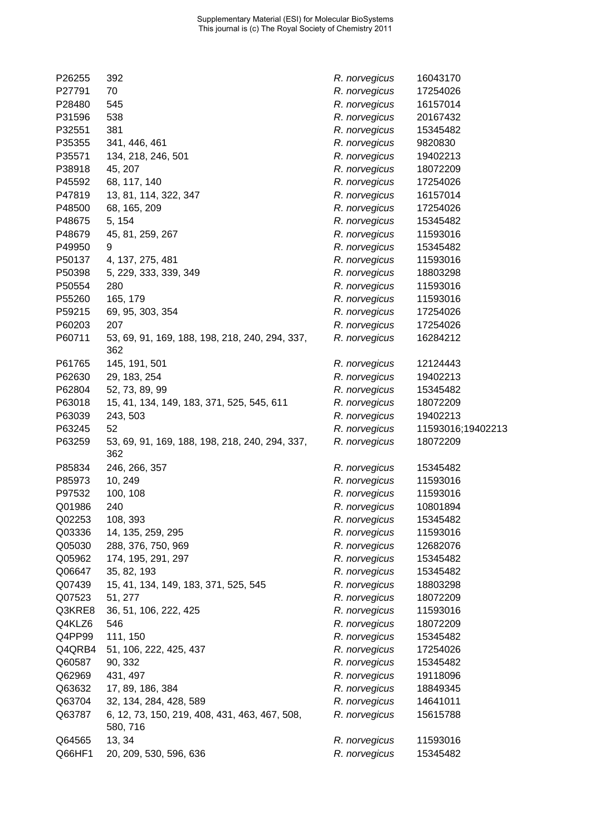| 392                                            | R. norvegicus                                                                                                                                                                                                                                                                                                                                                                                                                                                                                                                                                                                                                                                                                                                                          | 16043170                                                                                                                                                                                                                                                                                                                                                                                                                                                                                                                                                                                                                                                                                             |
|------------------------------------------------|--------------------------------------------------------------------------------------------------------------------------------------------------------------------------------------------------------------------------------------------------------------------------------------------------------------------------------------------------------------------------------------------------------------------------------------------------------------------------------------------------------------------------------------------------------------------------------------------------------------------------------------------------------------------------------------------------------------------------------------------------------|------------------------------------------------------------------------------------------------------------------------------------------------------------------------------------------------------------------------------------------------------------------------------------------------------------------------------------------------------------------------------------------------------------------------------------------------------------------------------------------------------------------------------------------------------------------------------------------------------------------------------------------------------------------------------------------------------|
| 70                                             | R. norvegicus                                                                                                                                                                                                                                                                                                                                                                                                                                                                                                                                                                                                                                                                                                                                          | 17254026                                                                                                                                                                                                                                                                                                                                                                                                                                                                                                                                                                                                                                                                                             |
| 545                                            | R. norvegicus                                                                                                                                                                                                                                                                                                                                                                                                                                                                                                                                                                                                                                                                                                                                          | 16157014                                                                                                                                                                                                                                                                                                                                                                                                                                                                                                                                                                                                                                                                                             |
| 538                                            | R. norvegicus                                                                                                                                                                                                                                                                                                                                                                                                                                                                                                                                                                                                                                                                                                                                          | 20167432                                                                                                                                                                                                                                                                                                                                                                                                                                                                                                                                                                                                                                                                                             |
| 381                                            | R. norvegicus                                                                                                                                                                                                                                                                                                                                                                                                                                                                                                                                                                                                                                                                                                                                          | 15345482                                                                                                                                                                                                                                                                                                                                                                                                                                                                                                                                                                                                                                                                                             |
| 341, 446, 461                                  |                                                                                                                                                                                                                                                                                                                                                                                                                                                                                                                                                                                                                                                                                                                                                        | 9820830                                                                                                                                                                                                                                                                                                                                                                                                                                                                                                                                                                                                                                                                                              |
|                                                |                                                                                                                                                                                                                                                                                                                                                                                                                                                                                                                                                                                                                                                                                                                                                        | 19402213                                                                                                                                                                                                                                                                                                                                                                                                                                                                                                                                                                                                                                                                                             |
|                                                |                                                                                                                                                                                                                                                                                                                                                                                                                                                                                                                                                                                                                                                                                                                                                        | 18072209                                                                                                                                                                                                                                                                                                                                                                                                                                                                                                                                                                                                                                                                                             |
|                                                |                                                                                                                                                                                                                                                                                                                                                                                                                                                                                                                                                                                                                                                                                                                                                        | 17254026                                                                                                                                                                                                                                                                                                                                                                                                                                                                                                                                                                                                                                                                                             |
|                                                |                                                                                                                                                                                                                                                                                                                                                                                                                                                                                                                                                                                                                                                                                                                                                        | 16157014                                                                                                                                                                                                                                                                                                                                                                                                                                                                                                                                                                                                                                                                                             |
|                                                |                                                                                                                                                                                                                                                                                                                                                                                                                                                                                                                                                                                                                                                                                                                                                        | 17254026                                                                                                                                                                                                                                                                                                                                                                                                                                                                                                                                                                                                                                                                                             |
|                                                |                                                                                                                                                                                                                                                                                                                                                                                                                                                                                                                                                                                                                                                                                                                                                        | 15345482                                                                                                                                                                                                                                                                                                                                                                                                                                                                                                                                                                                                                                                                                             |
|                                                |                                                                                                                                                                                                                                                                                                                                                                                                                                                                                                                                                                                                                                                                                                                                                        | 11593016                                                                                                                                                                                                                                                                                                                                                                                                                                                                                                                                                                                                                                                                                             |
|                                                |                                                                                                                                                                                                                                                                                                                                                                                                                                                                                                                                                                                                                                                                                                                                                        | 15345482                                                                                                                                                                                                                                                                                                                                                                                                                                                                                                                                                                                                                                                                                             |
|                                                |                                                                                                                                                                                                                                                                                                                                                                                                                                                                                                                                                                                                                                                                                                                                                        | 11593016                                                                                                                                                                                                                                                                                                                                                                                                                                                                                                                                                                                                                                                                                             |
|                                                |                                                                                                                                                                                                                                                                                                                                                                                                                                                                                                                                                                                                                                                                                                                                                        | 18803298                                                                                                                                                                                                                                                                                                                                                                                                                                                                                                                                                                                                                                                                                             |
|                                                |                                                                                                                                                                                                                                                                                                                                                                                                                                                                                                                                                                                                                                                                                                                                                        | 11593016                                                                                                                                                                                                                                                                                                                                                                                                                                                                                                                                                                                                                                                                                             |
|                                                |                                                                                                                                                                                                                                                                                                                                                                                                                                                                                                                                                                                                                                                                                                                                                        | 11593016                                                                                                                                                                                                                                                                                                                                                                                                                                                                                                                                                                                                                                                                                             |
|                                                |                                                                                                                                                                                                                                                                                                                                                                                                                                                                                                                                                                                                                                                                                                                                                        | 17254026                                                                                                                                                                                                                                                                                                                                                                                                                                                                                                                                                                                                                                                                                             |
|                                                |                                                                                                                                                                                                                                                                                                                                                                                                                                                                                                                                                                                                                                                                                                                                                        | 17254026                                                                                                                                                                                                                                                                                                                                                                                                                                                                                                                                                                                                                                                                                             |
|                                                |                                                                                                                                                                                                                                                                                                                                                                                                                                                                                                                                                                                                                                                                                                                                                        |                                                                                                                                                                                                                                                                                                                                                                                                                                                                                                                                                                                                                                                                                                      |
| 362                                            |                                                                                                                                                                                                                                                                                                                                                                                                                                                                                                                                                                                                                                                                                                                                                        | 16284212                                                                                                                                                                                                                                                                                                                                                                                                                                                                                                                                                                                                                                                                                             |
| 145, 191, 501                                  | R. norvegicus                                                                                                                                                                                                                                                                                                                                                                                                                                                                                                                                                                                                                                                                                                                                          | 12124443                                                                                                                                                                                                                                                                                                                                                                                                                                                                                                                                                                                                                                                                                             |
|                                                | R. norvegicus                                                                                                                                                                                                                                                                                                                                                                                                                                                                                                                                                                                                                                                                                                                                          | 19402213                                                                                                                                                                                                                                                                                                                                                                                                                                                                                                                                                                                                                                                                                             |
| 52, 73, 89, 99                                 |                                                                                                                                                                                                                                                                                                                                                                                                                                                                                                                                                                                                                                                                                                                                                        | 15345482                                                                                                                                                                                                                                                                                                                                                                                                                                                                                                                                                                                                                                                                                             |
|                                                |                                                                                                                                                                                                                                                                                                                                                                                                                                                                                                                                                                                                                                                                                                                                                        | 18072209                                                                                                                                                                                                                                                                                                                                                                                                                                                                                                                                                                                                                                                                                             |
|                                                |                                                                                                                                                                                                                                                                                                                                                                                                                                                                                                                                                                                                                                                                                                                                                        | 19402213                                                                                                                                                                                                                                                                                                                                                                                                                                                                                                                                                                                                                                                                                             |
|                                                |                                                                                                                                                                                                                                                                                                                                                                                                                                                                                                                                                                                                                                                                                                                                                        | 11593016;19402213                                                                                                                                                                                                                                                                                                                                                                                                                                                                                                                                                                                                                                                                                    |
| 53, 69, 91, 169, 188, 198, 218, 240, 294, 337, | R. norvegicus                                                                                                                                                                                                                                                                                                                                                                                                                                                                                                                                                                                                                                                                                                                                          | 18072209                                                                                                                                                                                                                                                                                                                                                                                                                                                                                                                                                                                                                                                                                             |
|                                                |                                                                                                                                                                                                                                                                                                                                                                                                                                                                                                                                                                                                                                                                                                                                                        | 15345482                                                                                                                                                                                                                                                                                                                                                                                                                                                                                                                                                                                                                                                                                             |
|                                                |                                                                                                                                                                                                                                                                                                                                                                                                                                                                                                                                                                                                                                                                                                                                                        | 11593016                                                                                                                                                                                                                                                                                                                                                                                                                                                                                                                                                                                                                                                                                             |
|                                                |                                                                                                                                                                                                                                                                                                                                                                                                                                                                                                                                                                                                                                                                                                                                                        | 11593016                                                                                                                                                                                                                                                                                                                                                                                                                                                                                                                                                                                                                                                                                             |
|                                                |                                                                                                                                                                                                                                                                                                                                                                                                                                                                                                                                                                                                                                                                                                                                                        | 10801894                                                                                                                                                                                                                                                                                                                                                                                                                                                                                                                                                                                                                                                                                             |
|                                                |                                                                                                                                                                                                                                                                                                                                                                                                                                                                                                                                                                                                                                                                                                                                                        | 15345482                                                                                                                                                                                                                                                                                                                                                                                                                                                                                                                                                                                                                                                                                             |
|                                                |                                                                                                                                                                                                                                                                                                                                                                                                                                                                                                                                                                                                                                                                                                                                                        | 11593016                                                                                                                                                                                                                                                                                                                                                                                                                                                                                                                                                                                                                                                                                             |
|                                                |                                                                                                                                                                                                                                                                                                                                                                                                                                                                                                                                                                                                                                                                                                                                                        | 12682076                                                                                                                                                                                                                                                                                                                                                                                                                                                                                                                                                                                                                                                                                             |
|                                                |                                                                                                                                                                                                                                                                                                                                                                                                                                                                                                                                                                                                                                                                                                                                                        | 15345482                                                                                                                                                                                                                                                                                                                                                                                                                                                                                                                                                                                                                                                                                             |
|                                                |                                                                                                                                                                                                                                                                                                                                                                                                                                                                                                                                                                                                                                                                                                                                                        | 15345482                                                                                                                                                                                                                                                                                                                                                                                                                                                                                                                                                                                                                                                                                             |
|                                                |                                                                                                                                                                                                                                                                                                                                                                                                                                                                                                                                                                                                                                                                                                                                                        | 18803298                                                                                                                                                                                                                                                                                                                                                                                                                                                                                                                                                                                                                                                                                             |
|                                                |                                                                                                                                                                                                                                                                                                                                                                                                                                                                                                                                                                                                                                                                                                                                                        | 18072209                                                                                                                                                                                                                                                                                                                                                                                                                                                                                                                                                                                                                                                                                             |
|                                                |                                                                                                                                                                                                                                                                                                                                                                                                                                                                                                                                                                                                                                                                                                                                                        | 11593016                                                                                                                                                                                                                                                                                                                                                                                                                                                                                                                                                                                                                                                                                             |
|                                                |                                                                                                                                                                                                                                                                                                                                                                                                                                                                                                                                                                                                                                                                                                                                                        | 18072209                                                                                                                                                                                                                                                                                                                                                                                                                                                                                                                                                                                                                                                                                             |
|                                                |                                                                                                                                                                                                                                                                                                                                                                                                                                                                                                                                                                                                                                                                                                                                                        | 15345482                                                                                                                                                                                                                                                                                                                                                                                                                                                                                                                                                                                                                                                                                             |
|                                                |                                                                                                                                                                                                                                                                                                                                                                                                                                                                                                                                                                                                                                                                                                                                                        | 17254026                                                                                                                                                                                                                                                                                                                                                                                                                                                                                                                                                                                                                                                                                             |
|                                                |                                                                                                                                                                                                                                                                                                                                                                                                                                                                                                                                                                                                                                                                                                                                                        |                                                                                                                                                                                                                                                                                                                                                                                                                                                                                                                                                                                                                                                                                                      |
|                                                |                                                                                                                                                                                                                                                                                                                                                                                                                                                                                                                                                                                                                                                                                                                                                        | 15345482                                                                                                                                                                                                                                                                                                                                                                                                                                                                                                                                                                                                                                                                                             |
|                                                |                                                                                                                                                                                                                                                                                                                                                                                                                                                                                                                                                                                                                                                                                                                                                        | 19118096                                                                                                                                                                                                                                                                                                                                                                                                                                                                                                                                                                                                                                                                                             |
|                                                |                                                                                                                                                                                                                                                                                                                                                                                                                                                                                                                                                                                                                                                                                                                                                        | 18849345                                                                                                                                                                                                                                                                                                                                                                                                                                                                                                                                                                                                                                                                                             |
|                                                |                                                                                                                                                                                                                                                                                                                                                                                                                                                                                                                                                                                                                                                                                                                                                        | 14641011                                                                                                                                                                                                                                                                                                                                                                                                                                                                                                                                                                                                                                                                                             |
| 580, 716                                       |                                                                                                                                                                                                                                                                                                                                                                                                                                                                                                                                                                                                                                                                                                                                                        | 15615788                                                                                                                                                                                                                                                                                                                                                                                                                                                                                                                                                                                                                                                                                             |
| 13, 34                                         | R. norvegicus                                                                                                                                                                                                                                                                                                                                                                                                                                                                                                                                                                                                                                                                                                                                          | 11593016                                                                                                                                                                                                                                                                                                                                                                                                                                                                                                                                                                                                                                                                                             |
| 20, 209, 530, 596, 636                         | R. norvegicus                                                                                                                                                                                                                                                                                                                                                                                                                                                                                                                                                                                                                                                                                                                                          | 15345482                                                                                                                                                                                                                                                                                                                                                                                                                                                                                                                                                                                                                                                                                             |
|                                                | 134, 218, 246, 501<br>45, 207<br>68, 117, 140<br>13, 81, 114, 322, 347<br>68, 165, 209<br>5, 154<br>45, 81, 259, 267<br>9<br>4, 137, 275, 481<br>5, 229, 333, 339, 349<br>280<br>165, 179<br>69, 95, 303, 354<br>207<br>53, 69, 91, 169, 188, 198, 218, 240, 294, 337,<br>29, 183, 254<br>15, 41, 134, 149, 183, 371, 525, 545, 611<br>243, 503<br>52<br>362<br>246, 266, 357<br>10, 249<br>100, 108<br>240<br>108, 393<br>14, 135, 259, 295<br>288, 376, 750, 969<br>174, 195, 291, 297<br>35, 82, 193<br>15, 41, 134, 149, 183, 371, 525, 545<br>51, 277<br>36, 51, 106, 222, 425<br>546<br>111, 150<br>51, 106, 222, 425, 437<br>90, 332<br>431, 497<br>17, 89, 186, 384<br>32, 134, 284, 428, 589<br>6, 12, 73, 150, 219, 408, 431, 463, 467, 508, | R. norvegicus<br>R. norvegicus<br>R. norvegicus<br>R. norvegicus<br>R. norvegicus<br>R. norvegicus<br>R. norvegicus<br>R. norvegicus<br>R. norvegicus<br>R. norvegicus<br>R. norvegicus<br>R. norvegicus<br>R. norvegicus<br>R. norvegicus<br>R. norvegicus<br>R. norvegicus<br>R. norvegicus<br>R. norvegicus<br>R. norvegicus<br>R. norvegicus<br>R. norvegicus<br>R. norvegicus<br>R. norvegicus<br>R. norvegicus<br>R. norvegicus<br>R. norvegicus<br>R. norvegicus<br>R. norvegicus<br>R. norvegicus<br>R. norvegicus<br>R. norvegicus<br>R. norvegicus<br>R. norvegicus<br>R. norvegicus<br>R. norvegicus<br>R. norvegicus<br>R. norvegicus<br>R. norvegicus<br>R. norvegicus<br>R. norvegicus |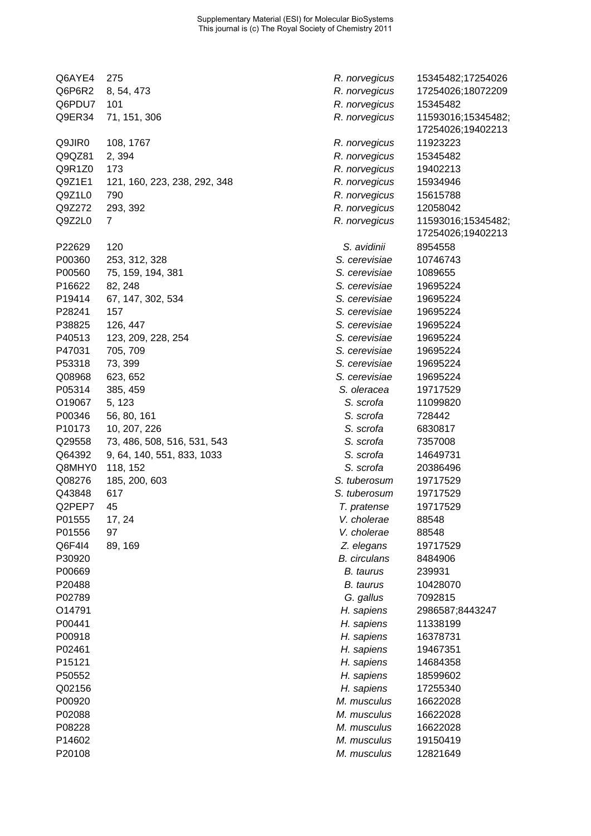| Q6AYE4 | 275                          | R. norvegicus       | 15345482;17254026                       |
|--------|------------------------------|---------------------|-----------------------------------------|
| Q6P6R2 | 8, 54, 473                   | R. norvegicus       | 17254026;18072209                       |
| Q6PDU7 | 101                          | R. norvegicus       | 15345482                                |
| Q9ER34 | 71, 151, 306                 | R. norvegicus       | 11593016;15345482;<br>17254026;19402213 |
| Q9JIR0 | 108, 1767                    | R. norvegicus       | 11923223                                |
| Q9QZ81 | 2,394                        | R. norvegicus       | 15345482                                |
| Q9R1Z0 | 173                          | R. norvegicus       | 19402213                                |
| Q9Z1E1 | 121, 160, 223, 238, 292, 348 | R. norvegicus       | 15934946                                |
| Q9Z1L0 | 790                          | R. norvegicus       | 15615788                                |
| Q9Z272 | 293, 392                     | R. norvegicus       | 12058042                                |
| Q9Z2L0 | 7                            | R. norvegicus       | 11593016;15345482;<br>17254026;19402213 |
| P22629 | 120                          | S. avidinii         | 8954558                                 |
| P00360 | 253, 312, 328                | S. cerevisiae       | 10746743                                |
| P00560 | 75, 159, 194, 381            | S. cerevisiae       | 1089655                                 |
| P16622 | 82, 248                      | S. cerevisiae       | 19695224                                |
| P19414 | 67, 147, 302, 534            | S. cerevisiae       | 19695224                                |
| P28241 | 157                          | S. cerevisiae       | 19695224                                |
| P38825 | 126, 447                     | S. cerevisiae       | 19695224                                |
| P40513 | 123, 209, 228, 254           | S. cerevisiae       | 19695224                                |
| P47031 | 705, 709                     | S. cerevisiae       | 19695224                                |
| P53318 | 73, 399                      | S. cerevisiae       | 19695224                                |
| Q08968 | 623, 652                     | S. cerevisiae       | 19695224                                |
| P05314 | 385, 459                     | S. oleracea         | 19717529                                |
| O19067 | 5, 123                       | S. scrofa           | 11099820                                |
| P00346 | 56, 80, 161                  | S. scrofa           | 728442                                  |
| P10173 | 10, 207, 226                 | S. scrofa           | 6830817                                 |
| Q29558 | 73, 486, 508, 516, 531, 543  | S. scrofa           | 7357008                                 |
| Q64392 | 9, 64, 140, 551, 833, 1033   | S. scrofa           | 14649731                                |
| Q8MHY0 | 118, 152                     | S. scrofa           | 20386496                                |
| Q08276 | 185, 200, 603                | S. tuberosum        | 19717529                                |
| Q43848 | 617                          | S. tuberosum        | 19717529                                |
| Q2PEP7 | 45                           | T. pratense         | 19717529                                |
| P01555 | 17, 24                       | V. cholerae         | 88548                                   |
| P01556 | 97                           | V. cholerae         | 88548                                   |
| Q6F4I4 | 89, 169                      | Z. elegans          | 19717529                                |
| P30920 |                              | <b>B.</b> circulans | 8484906                                 |
| P00669 |                              | <b>B.</b> taurus    | 239931                                  |
| P20488 |                              | <b>B.</b> taurus    | 10428070                                |
| P02789 |                              | G. gallus           | 7092815                                 |
| O14791 |                              | H. sapiens          | 2986587;8443247                         |
| P00441 |                              | H. sapiens          | 11338199                                |
| P00918 |                              | H. sapiens          | 16378731                                |
| P02461 |                              | H. sapiens          | 19467351                                |
| P15121 |                              |                     |                                         |
|        |                              | H. sapiens          | 14684358                                |
| P50552 |                              | H. sapiens          | 18599602                                |
| Q02156 |                              | H. sapiens          | 17255340                                |
| P00920 |                              | M. musculus         | 16622028                                |
| P02088 |                              | M. musculus         | 16622028                                |
| P08228 |                              | M. musculus         | 16622028                                |
| P14602 |                              | M. musculus         | 19150419                                |
| P20108 |                              | M. musculus         | 12821649                                |

| norvegicus       | 15345482;17254026 |
|------------------|-------------------|
| norvegicus       | 17254026;18072209 |
| norvegicus       | 15345482          |
| norvegicus       | 11593016;15345482 |
|                  | 17254026;19402213 |
| norvegicus       | 11923223          |
| norvegicus       | 15345482          |
| norvegicus       | 19402213          |
| norvegicus       | 15934946          |
| norvegicus       | 15615788          |
| norvegicus       | 12058042          |
|                  | 11593016;15345482 |
| norvegicus       | 17254026;19402213 |
|                  |                   |
| S. avidinii      | 8954558           |
| . cerevisiae     | 10746743          |
| . cerevisiae     | 1089655           |
| . cerevisiae     | 19695224          |
| . cerevisiae     | 19695224          |
| . cerevisiae     | 19695224          |
| . cerevisiae     | 19695224          |
| . cerevisiae     | 19695224          |
| . cerevisiae     | 19695224          |
| . cerevisiae     | 19695224          |
| . cerevisiae     | 19695224          |
| S. oleracea      | 19717529          |
| S. scrofa        | 11099820          |
| S. scrofa        | 728442            |
| S. scrofa        | 6830817           |
| S. scrofa        | 7357008           |
| S. scrofa        | 14649731          |
| S. scrofa        | 20386496          |
| tuberosum.       | 19717529          |
| . tuberosum      | 19717529          |
| T. pratense      | 19717529          |
| /. cholerae      | 88548             |
| /. cholerae      | 88548             |
| Z. elegans       | 19717529          |
| 3. circulans     | 8484906           |
|                  |                   |
| <b>B.</b> taurus | 239931            |
| B. taurus        | 10428070          |
| G. gallus        | 7092815           |
| H. sapiens       | 2986587;8443247   |
| H. sapiens       | 11338199          |
| H. sapiens       | 16378731          |
| H. sapiens       | 19467351          |
| H. sapiens       | 14684358          |
| H. sapiens       | 18599602          |
| H. sapiens       | 17255340          |
| 1. musculus      | 16622028          |
| 1. musculus      | 16622028          |
| 1. musculus      | 16622028          |
| 1. musculus      | 19150419          |
| 1. musculus      | 12821649          |
|                  |                   |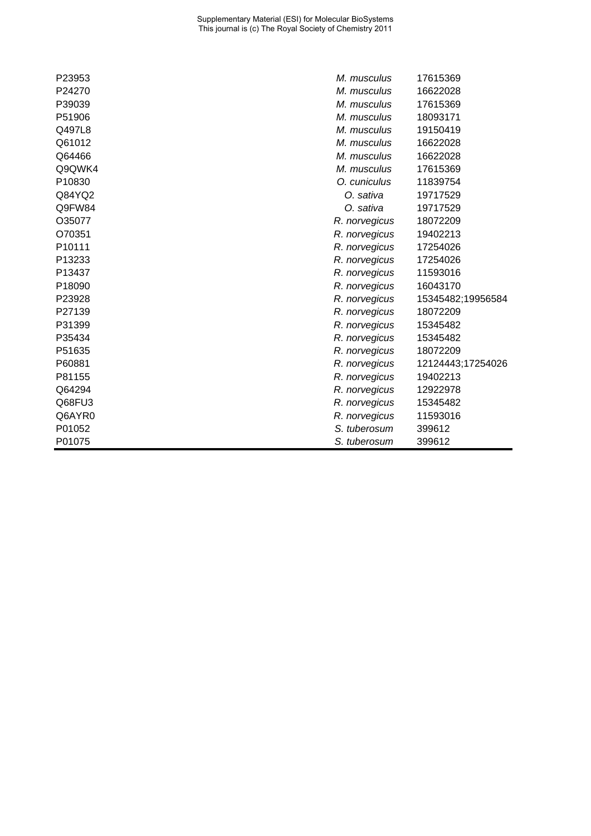| P23953 | M. musculus   | 17615369          |
|--------|---------------|-------------------|
| P24270 | M. musculus   | 16622028          |
| P39039 | M. musculus   | 17615369          |
| P51906 | M. musculus   | 18093171          |
| Q497L8 | M. musculus   | 19150419          |
| Q61012 | M. musculus   | 16622028          |
| Q64466 | M. musculus   | 16622028          |
| Q9QWK4 | M. musculus   | 17615369          |
| P10830 | O. cuniculus  | 11839754          |
| Q84YQ2 | O. sativa     | 19717529          |
| Q9FW84 | O. sativa     | 19717529          |
| O35077 | R. norvegicus | 18072209          |
| O70351 | R. norvegicus | 19402213          |
| P10111 | R. norvegicus | 17254026          |
| P13233 | R. norvegicus | 17254026          |
| P13437 | R. norvegicus | 11593016          |
| P18090 | R. norvegicus | 16043170          |
| P23928 | R. norvegicus | 15345482;19956584 |
| P27139 | R. norvegicus | 18072209          |
| P31399 | R. norvegicus | 15345482          |
| P35434 | R. norvegicus | 15345482          |
| P51635 | R. norvegicus | 18072209          |
| P60881 | R. norvegicus | 12124443;17254026 |
| P81155 | R. norvegicus | 19402213          |
| Q64294 | R. norvegicus | 12922978          |
| Q68FU3 | R. norvegicus | 15345482          |
| Q6AYR0 | R. norvegicus | 11593016          |
| P01052 | S. tuberosum  | 399612            |
| P01075 | S. tuberosum  | 399612            |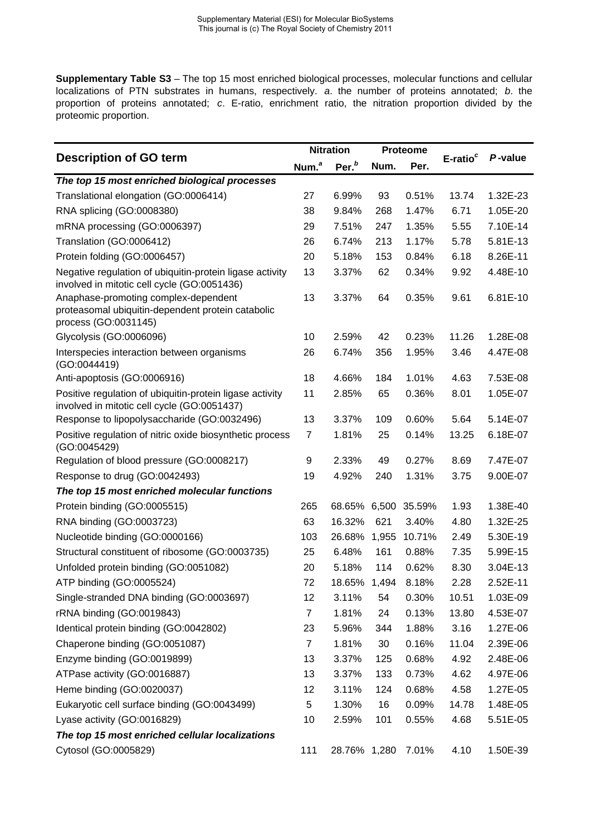**Supplementary Table S3** – The top 15 most enriched biological processes, molecular functions and cellular localizations of PTN substrates in humans, respectively. *a*. the number of proteins annotated; *b*. the proportion of proteins annotated; *c*. E-ratio, enrichment ratio, the nitration proportion divided by the proteomic proportion.

| <b>Description of GO term</b><br>Num. <sup>a</sup>                                                                |                | <b>Nitration</b>   |      | <b>Proteome</b> |                      |          |
|-------------------------------------------------------------------------------------------------------------------|----------------|--------------------|------|-----------------|----------------------|----------|
|                                                                                                                   |                | Per. <sup>b</sup>  | Num. | Per.            | E-ratio <sup>c</sup> | P-value  |
| The top 15 most enriched biological processes                                                                     |                |                    |      |                 |                      |          |
| Translational elongation (GO:0006414)                                                                             | 27             | 6.99%              | 93   | 0.51%           | 13.74                | 1.32E-23 |
| RNA splicing (GO:0008380)                                                                                         | 38             | 9.84%              | 268  | 1.47%           | 6.71                 | 1.05E-20 |
| mRNA processing (GO:0006397)                                                                                      | 29             | 7.51%              | 247  | 1.35%           | 5.55                 | 7.10E-14 |
| Translation (GO:0006412)                                                                                          | 26             | 6.74%              | 213  | 1.17%           | 5.78                 | 5.81E-13 |
| Protein folding (GO:0006457)                                                                                      | 20             | 5.18%              | 153  | 0.84%           | 6.18                 | 8.26E-11 |
| Negative regulation of ubiquitin-protein ligase activity<br>involved in mitotic cell cycle (GO:0051436)           | 13             | 3.37%              | 62   | 0.34%           | 9.92                 | 4.48E-10 |
| Anaphase-promoting complex-dependent<br>proteasomal ubiquitin-dependent protein catabolic<br>process (GO:0031145) | 13             | 3.37%              | 64   | 0.35%           | 9.61                 | 6.81E-10 |
| Glycolysis (GO:0006096)                                                                                           | 10             | 2.59%              | 42   | 0.23%           | 11.26                | 1.28E-08 |
| Interspecies interaction between organisms<br>(GO:0044419)                                                        | 26             | 6.74%              | 356  | 1.95%           | 3.46                 | 4.47E-08 |
| Anti-apoptosis (GO:0006916)                                                                                       | 18             | 4.66%              | 184  | 1.01%           | 4.63                 | 7.53E-08 |
| Positive regulation of ubiquitin-protein ligase activity<br>involved in mitotic cell cycle (GO:0051437)           | 11             | 2.85%              | 65   | 0.36%           | 8.01                 | 1.05E-07 |
| Response to lipopolysaccharide (GO:0032496)                                                                       | 13             | 3.37%              | 109  | 0.60%           | 5.64                 | 5.14E-07 |
| Positive regulation of nitric oxide biosynthetic process<br>(GO:0045429)                                          | $\overline{7}$ | 1.81%              | 25   | 0.14%           | 13.25                | 6.18E-07 |
| Regulation of blood pressure (GO:0008217)                                                                         | 9              | 2.33%              | 49   | 0.27%           | 8.69                 | 7.47E-07 |
| Response to drug (GO:0042493)                                                                                     | 19             | 4.92%              | 240  | 1.31%           | 3.75                 | 9.00E-07 |
| The top 15 most enriched molecular functions                                                                      |                |                    |      |                 |                      |          |
| Protein binding (GO:0005515)                                                                                      | 265            | 68.65% 6,500       |      | 35.59%          | 1.93                 | 1.38E-40 |
| RNA binding (GO:0003723)                                                                                          | 63             | 16.32%             | 621  | 3.40%           | 4.80                 | 1.32E-25 |
| Nucleotide binding (GO:0000166)                                                                                   | 103            | 26.68% 1,955       |      | 10.71%          | 2.49                 | 5.30E-19 |
| Structural constituent of ribosome (GO:0003735)                                                                   | 25             | 6.48%              | 161  | 0.88%           | 7.35                 | 5.99E-15 |
| Unfolded protein binding (GO:0051082)                                                                             | 20             | 5.18%              | 114  | 0.62%           | 8.30                 | 3.04E-13 |
| ATP binding (GO:0005524)                                                                                          | 72             | 18.65% 1,494 8.18% |      |                 | 2.28                 | 2.52E-11 |
| Single-stranded DNA binding (GO:0003697)                                                                          | 12             | 3.11%              | 54   | 0.30%           | 10.51                | 1.03E-09 |
| rRNA binding (GO:0019843)                                                                                         | $\overline{7}$ | 1.81%              | 24   | 0.13%           | 13.80                | 4.53E-07 |
| Identical protein binding (GO:0042802)                                                                            | 23             | 5.96%              | 344  | 1.88%           | 3.16                 | 1.27E-06 |
| Chaperone binding (GO:0051087)                                                                                    | $\overline{7}$ | 1.81%              | 30   | 0.16%           | 11.04                | 2.39E-06 |
| Enzyme binding (GO:0019899)                                                                                       | 13             | 3.37%              | 125  | 0.68%           | 4.92                 | 2.48E-06 |
| ATPase activity (GO:0016887)                                                                                      | 13             | 3.37%              | 133  | 0.73%           | 4.62                 | 4.97E-06 |
| Heme binding (GO:0020037)                                                                                         | 12             | 3.11%              | 124  | 0.68%           | 4.58                 | 1.27E-05 |
| Eukaryotic cell surface binding (GO:0043499)                                                                      | 5              | 1.30%              | 16   | 0.09%           | 14.78                | 1.48E-05 |
| Lyase activity (GO:0016829)                                                                                       | 10             | 2.59%              | 101  | 0.55%           | 4.68                 | 5.51E-05 |
| The top 15 most enriched cellular localizations                                                                   |                |                    |      |                 |                      |          |
| Cytosol (GO:0005829)                                                                                              | 111            | 28.76% 1,280       |      | 7.01%           | 4.10                 | 1.50E-39 |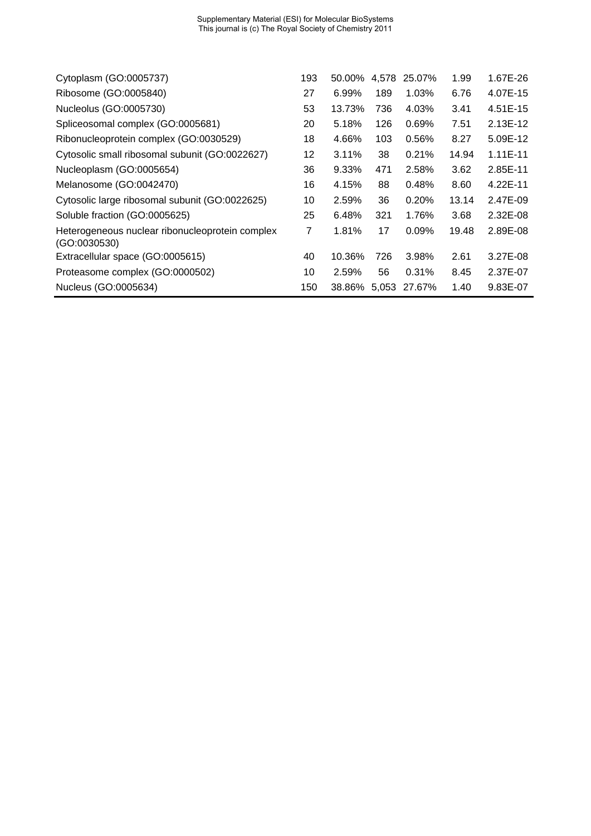| Cytoplasm (GO:0005737)                                          | 193 | 50.00% | 4.578 | 25.07%              | 1.99  | 1.67E-26   |
|-----------------------------------------------------------------|-----|--------|-------|---------------------|-------|------------|
| Ribosome (GO:0005840)                                           | 27  | 6.99%  | 189   | 1.03%               | 6.76  | 4.07E-15   |
| Nucleolus (GO:0005730)                                          | 53  | 13.73% | 736   | 4.03%               | 3.41  | 4.51E-15   |
| Spliceosomal complex (GO:0005681)                               | 20  | 5.18%  | 126   | 0.69%               | 7.51  | 2.13E-12   |
| Ribonucleoprotein complex (GO:0030529)                          | 18  | 4.66%  | 103   | 0.56%               | 8.27  | 5.09E-12   |
| Cytosolic small ribosomal subunit (GO:0022627)                  | 12  | 3.11%  | 38    | 0.21%               | 14.94 | $1.11E-11$ |
| Nucleoplasm (GO:0005654)                                        | 36  | 9.33%  | 471   | 2.58%               | 3.62  | 2.85E-11   |
| Melanosome (GO:0042470)                                         | 16  | 4.15%  | 88    | 0.48%               | 8.60  | 4.22E-11   |
| Cytosolic large ribosomal subunit (GO:0022625)                  | 10  | 2.59%  | 36    | 0.20%               | 13.14 | 2.47E-09   |
| Soluble fraction (GO:0005625)                                   | 25  | 6.48%  | 321   | 1.76%               | 3.68  | 2.32E-08   |
| Heterogeneous nuclear ribonucleoprotein complex<br>(GO:0030530) | 7   | 1.81%  | 17    | 0.09%               | 19.48 | 2.89E-08   |
| Extracellular space (GO:0005615)                                | 40  | 10.36% | 726   | 3.98%               | 2.61  | 3.27E-08   |
| Proteasome complex (GO:0000502)                                 | 10  | 2.59%  | 56    | 0.31%               | 8.45  | 2.37E-07   |
| Nucleus (GO:0005634)                                            | 150 |        |       | 38.86% 5,053 27.67% | 1.40  | 9.83E-07   |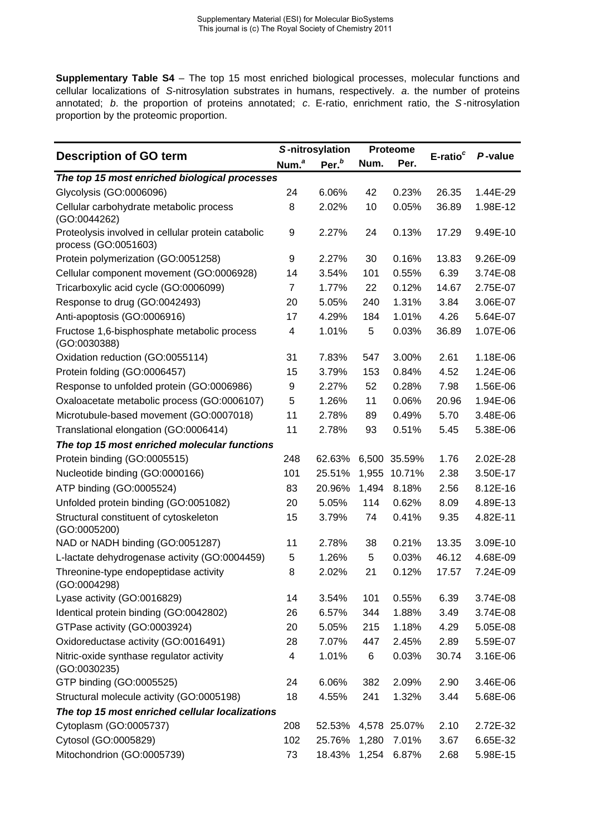**Supplementary Table S4** – The top 15 most enriched biological processes, molecular functions and cellular localizations of *S*-nitrosylation substrates in humans, respectively. *a*. the number of proteins annotated; *b*. the proportion of proteins annotated; *c*. E-ratio, enrichment ratio, the *S* -nitrosylation proportion by the proteomic proportion.

|                                                                            |                   | S-nitrosylation   |       | Proteome |                      |          |
|----------------------------------------------------------------------------|-------------------|-------------------|-------|----------|----------------------|----------|
| <b>Description of GO term</b>                                              | Num. <sup>a</sup> | Per. <sup>b</sup> | Num.  | Per.     | E-ratio <sup>c</sup> | P-value  |
| The top 15 most enriched biological processes                              |                   |                   |       |          |                      |          |
| Glycolysis (GO:0006096)                                                    | 24                | 6.06%             | 42    | 0.23%    | 26.35                | 1.44E-29 |
| Cellular carbohydrate metabolic process<br>(GO:0044262)                    | 8                 | 2.02%             | 10    | 0.05%    | 36.89                | 1.98E-12 |
| Proteolysis involved in cellular protein catabolic<br>process (GO:0051603) | 9                 | 2.27%             | 24    | 0.13%    | 17.29                | 9.49E-10 |
| Protein polymerization (GO:0051258)                                        | 9                 | 2.27%             | 30    | 0.16%    | 13.83                | 9.26E-09 |
| Cellular component movement (GO:0006928)                                   | 14                | 3.54%             | 101   | 0.55%    | 6.39                 | 3.74E-08 |
| Tricarboxylic acid cycle (GO:0006099)                                      | $\overline{7}$    | 1.77%             | 22    | 0.12%    | 14.67                | 2.75E-07 |
| Response to drug (GO:0042493)                                              | 20                | 5.05%             | 240   | 1.31%    | 3.84                 | 3.06E-07 |
| Anti-apoptosis (GO:0006916)                                                | 17                | 4.29%             | 184   | 1.01%    | 4.26                 | 5.64E-07 |
| Fructose 1,6-bisphosphate metabolic process<br>(GO:0030388)                | 4                 | 1.01%             | 5     | 0.03%    | 36.89                | 1.07E-06 |
| Oxidation reduction (GO:0055114)                                           | 31                | 7.83%             | 547   | 3.00%    | 2.61                 | 1.18E-06 |
| Protein folding (GO:0006457)                                               | 15                | 3.79%             | 153   | 0.84%    | 4.52                 | 1.24E-06 |
| Response to unfolded protein (GO:0006986)                                  | 9                 | 2.27%             | 52    | 0.28%    | 7.98                 | 1.56E-06 |
| Oxaloacetate metabolic process (GO:0006107)                                | 5                 | 1.26%             | 11    | 0.06%    | 20.96                | 1.94E-06 |
| Microtubule-based movement (GO:0007018)                                    | 11                | 2.78%             | 89    | 0.49%    | 5.70                 | 3.48E-06 |
| Translational elongation (GO:0006414)                                      | 11                | 2.78%             | 93    | 0.51%    | 5.45                 | 5.38E-06 |
| The top 15 most enriched molecular functions                               |                   |                   |       |          |                      |          |
| Protein binding (GO:0005515)                                               | 248               | 62.63%            | 6,500 | 35.59%   | 1.76                 | 2.02E-28 |
| Nucleotide binding (GO:0000166)                                            | 101               | 25.51%            | 1,955 | 10.71%   | 2.38                 | 3.50E-17 |
| ATP binding (GO:0005524)                                                   | 83                | 20.96%            | 1,494 | 8.18%    | 2.56                 | 8.12E-16 |
| Unfolded protein binding (GO:0051082)                                      | 20                | 5.05%             | 114   | 0.62%    | 8.09                 | 4.89E-13 |
| Structural constituent of cytoskeleton<br>(GO:0005200)                     | 15                | 3.79%             | 74    | 0.41%    | 9.35                 | 4.82E-11 |
| NAD or NADH binding (GO:0051287)                                           | 11                | 2.78%             | 38    | 0.21%    | 13.35                | 3.09E-10 |
| L-lactate dehydrogenase activity (GO:0004459)                              | 5                 | 1.26%             | 5     | 0.03%    | 46.12                | 4.68E-09 |
| Threonine-type endopeptidase activity<br>(GO:0004298)                      | 8                 | 2.02%             | 21    | 0.12%    | 17.57                | 7.24E-09 |
| Lyase activity (GO:0016829)                                                | 14                | 3.54%             | 101   | 0.55%    | 6.39                 | 3.74E-08 |
| Identical protein binding (GO:0042802)                                     | 26                | 6.57%             | 344   | 1.88%    | 3.49                 | 3.74E-08 |
| GTPase activity (GO:0003924)                                               | 20                | 5.05%             | 215   | 1.18%    | 4.29                 | 5.05E-08 |
| Oxidoreductase activity (GO:0016491)                                       | 28                | 7.07%             | 447   | 2.45%    | 2.89                 | 5.59E-07 |
| Nitric-oxide synthase regulator activity<br>(GO:0030235)                   | 4                 | 1.01%             | 6     | 0.03%    | 30.74                | 3.16E-06 |
| GTP binding (GO:0005525)                                                   | 24                | 6.06%             | 382   | 2.09%    | 2.90                 | 3.46E-06 |
| Structural molecule activity (GO:0005198)                                  | 18                | 4.55%             | 241   | 1.32%    | 3.44                 | 5.68E-06 |
| The top 15 most enriched cellular localizations                            |                   |                   |       |          |                      |          |
| Cytoplasm (GO:0005737)                                                     | 208               | 52.53%            | 4,578 | 25.07%   | 2.10                 | 2.72E-32 |
| Cytosol (GO:0005829)                                                       | 102               | 25.76%            | 1,280 | 7.01%    | 3.67                 | 6.65E-32 |
| Mitochondrion (GO:0005739)                                                 | 73                | 18.43%            | 1,254 | 6.87%    | 2.68                 | 5.98E-15 |